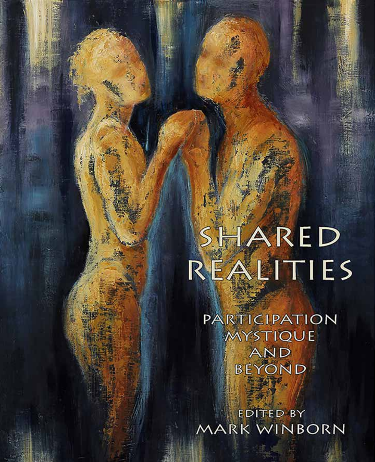# SHARED REALITIES

**PARTICIPATION** MYSTIQUE AND BEYOND

EDITED BY MARK WINBORN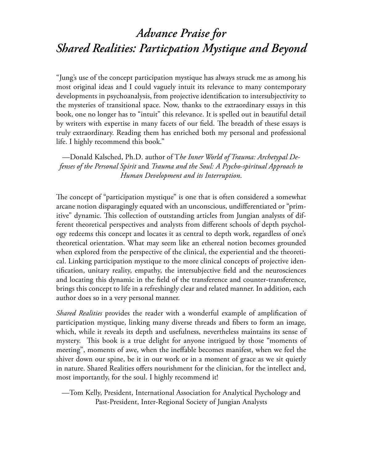## *Advance Praise for Shared Realities: Particpation Mystique and Beyond*

"Jung's use of the concept participation mystique has always struck me as among his most original ideas and I could vaguely intuit its relevance to many contemporary developments in psychoanalysis, from projective identification to intersubjectivity to the mysteries of transitional space. Now, thanks to the extraordinary essays in this book, one no longer has to "intuit" this relevance. It is spelled out in beautiful detail by writers with expertise in many facets of our field. The breadth of these essays is truly extraordinary. Reading them has enriched both my personal and professional life. I highly recommend this book."

—Donald Kalsched, Ph.D. author of T*he Inner World of Trauma: Archetypal Defenses of the Personal Spirit* and *Trauma and the Soul: A Psycho-spiritual Approach to Human Development and its Interruption*.

The concept of "participation mystique" is one that is often considered a somewhat arcane notion disparagingly equated with an unconscious, undifferentiated or "primitive" dynamic. This collection of outstanding articles from Jungian analysts of different theoretical perspectives and analysts from different schools of depth psychology redeems this concept and locates it as central to depth work, regardless of one's theoretical orientation. What may seem like an ethereal notion becomes grounded when explored from the perspective of the clinical, the experiential and the theoretical. Linking participation mystique to the more clinical concepts of projective identification, unitary reality, empathy, the intersubjective field and the neurosciences and locating this dynamic in the field of the transference and counter-transference, brings this concept to life in a refreshingly clear and related manner. In addition, each author does so in a very personal manner.

*Shared Realities* provides the reader with a wonderful example of amplification of participation mystique, linking many diverse threads and fibers to form an image, which, while it reveals its depth and usefulness, nevertheless maintains its sense of mystery. This book is a true delight for anyone intrigued by those "moments of meeting", moments of awe, when the ineffable becomes manifest, when we feel the shiver down our spine, be it in our work or in a moment of grace as we sit quietly in nature. Shared Realities offers nourishment for the clinician, for the intellect and, most importantly, for the soul. I highly recommend it!

—Tom Kelly, President, International Association for Analytical Psychology and Past-President, Inter-Regional Society of Jungian Analysts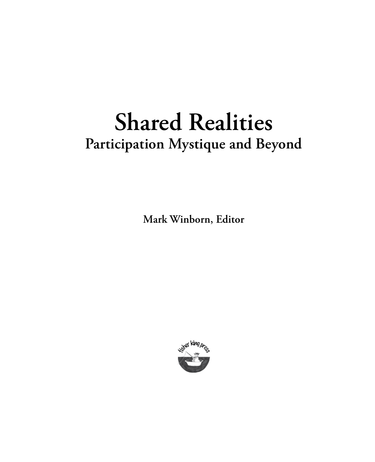## **Shared Realities Participation Mystique and Beyond**

**Mark Winborn, Editor**

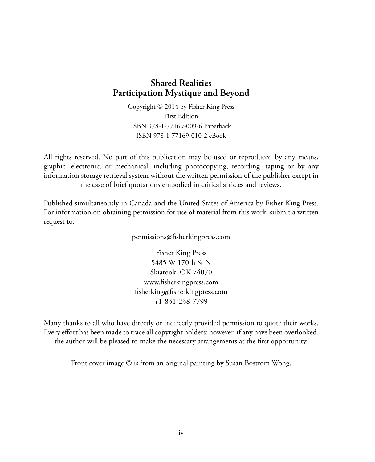## **Shared Realities Participation Mystique and Beyond**

Copyright © 2014 by Fisher King Press First Edition ISBN 978-1-77169-009-6 Paperback ISBN 978-1-77169-010-2 eBook

All rights reserved. No part of this publication may be used or reproduced by any means, graphic, electronic, or mechanical, including photocopying, recording, taping or by any information storage retrieval system without the written permission of the publisher except in the case of brief quotations embodied in critical articles and reviews.

Published simultaneously in Canada and the United States of America by Fisher King Press. For information on obtaining permission for use of material from this work, submit a written request to:

permissions@fisherkingpress.com

Fisher King Press 5485 W 170th St N Skiatook, OK 74070 www.fisherkingpress.com fisherking@fisherkingpress.com +1-831-238-7799

Many thanks to all who have directly or indirectly provided permission to quote their works. Every effort has been made to trace all copyright holders; however, if any have been overlooked, the author will be pleased to make the necessary arrangements at the first opportunity.

Front cover image © is from an original painting by Susan Bostrom Wong.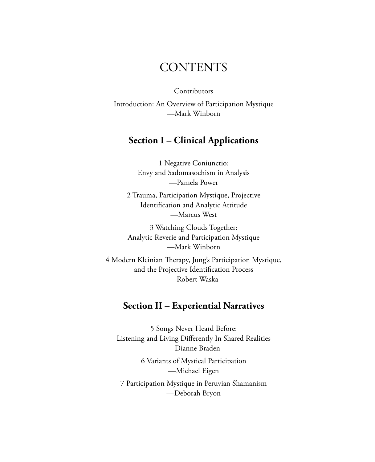## **CONTENTS**

Contributors

Introduction: An Overview of Participation Mystique —Mark Winborn

## **Section I – Clinical Applications**

1 Negative Coniunctio: Envy and Sadomasochism in Analysis —Pamela Power

2 Trauma, Participation Mystique, Projective Identification and Analytic Attitude —Marcus West

3 Watching Clouds Together: Analytic Reverie and Participation Mystique —Mark Winborn

4 Modern Kleinian Therapy, Jung's Participation Mystique, and the Projective Identification Process —Robert Waska

## **Section II – Experiential Narratives**

5 Songs Never Heard Before: Listening and Living Differently In Shared Realities —Dianne Braden 6 Variants of Mystical Participation —Michael Eigen 7 Participation Mystique in Peruvian Shamanism —Deborah Bryon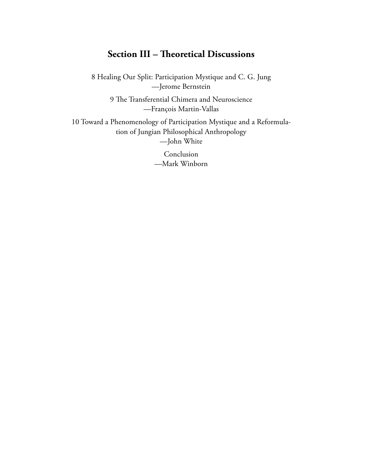## **Section III – Theoretical Discussions**

8 Healing Our Split: Participation Mystique and C. G. Jung —Jerome Bernstein

> 9 The Transferential Chimera and Neuroscience —François Martin-Vallas

10 Toward a Phenomenology of Participation Mystique and a Reformulation of Jungian Philosophical Anthropology —John White

> Conclusion —Mark Winborn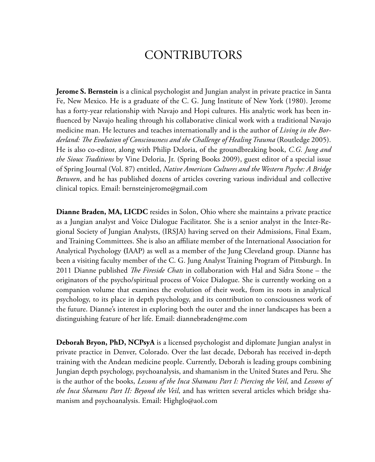## CONTRIBUTORS

**Jerome S. Bernstein** is a clinical psychologist and Jungian analyst in private practice in Santa Fe, New Mexico. He is a graduate of the C. G. Jung Institute of New York (1980). Jerome has a forty-year relationship with Navajo and Hopi cultures. His analytic work has been influenced by Navajo healing through his collaborative clinical work with a traditional Navajo medicine man. He lectures and teaches internationally and is the author of *Living in the Borderland: The Evolution of Consciousness and the Challenge of Healing Trauma* (Routledge 2005). He is also co-editor, along with Philip Deloria, of the groundbreaking book, *C.G. Jung and the Sioux Traditions* by Vine Deloria, Jr. (Spring Books 2009), guest editor of a special issue of Spring Journal (Vol. 87) entitled, *Native American Cultures and the Western Psyche: A Bridge Between*, and he has published dozens of articles covering various individual and collective clinical topics. Email: bernsteinjerome@gmail.com

**Dianne Braden, MA, LICDC** resides in Solon, Ohio where she maintains a private practice as a Jungian analyst and Voice Dialogue Facilitator. She is a senior analyst in the Inter-Regional Society of Jungian Analysts, (IRSJA) having served on their Admissions, Final Exam, and Training Committees. She is also an affiliate member of the International Association for Analytical Psychology **(**IAAP) as well as a member of the Jung Cleveland group. Dianne has been a visiting faculty member of the C. G. Jung Analyst Training Program of Pittsburgh. In 2011 Dianne published *The Fireside Chats* in collaboration with Hal and Sidra Stone – the originators of the psycho/spiritual process of Voice Dialogue. She is currently working on a companion volume that examines the evolution of their work, from its roots in analytical psychology, to its place in depth psychology, and its contribution to consciousness work of the future. Dianne's interest in exploring both the outer and the inner landscapes has been a distinguishing feature of her life. Email: diannebraden@me.com

**Deborah Bryon, PhD, NCPsyA** is a licensed psychologist and diplomate Jungian analyst in private practice in Denver, Colorado. Over the last decade, Deborah has received in-depth training with the Andean medicine people. Currently, Deborah is leading groups combining Jungian depth psychology, psychoanalysis, and shamanism in the United States and Peru. She is the author of the books, *Lessons of the Inca Shamans Part I: Piercing the Veil*, and *Lessons of the Inca Shamans Part II: Beyond the Veil*, and has written several articles which bridge shamanism and psychoanalysis. Email: Highglo@aol.com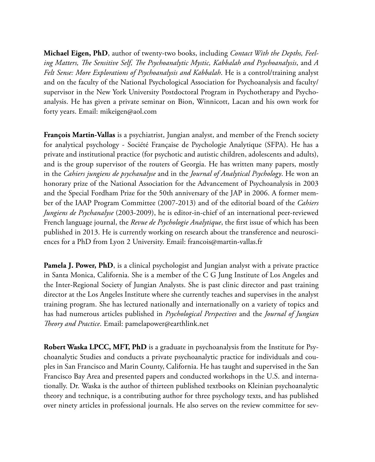**Michael Eigen, PhD**, author of twenty-two books, including *Contact With the Depths, Feeling Matters, The Sensitive Self, The Psychoanalytic Mystic, Kabbalah and Psychoanalysis*, and *A Felt Sense: More Explorations of Psychoanalysis and Kabbalah*. He is a control/training analyst and on the faculty of the National Psychological Association for Psychoanalysis and faculty/ supervisor in the New York University Postdoctoral Program in Psychotherapy and Psychoanalysis. He has given a private seminar on Bion, Winnicott, Lacan and his own work for forty years. Email: mikeigen@aol.com

**François Martin-Vallas** is a psychiatrist, Jungian analyst, and member of the French society for analytical psychology - Société Française de Psychologie Analytique (SFPA). He has a private and institutional practice (for psychotic and autistic children, adolescents and adults), and is the group supervisor of the routers of Georgia. He has written many papers, mostly in the *Cahiers jungiens de psychanalyse* and in the *Journal of Analytical Psychology*. He won an honorary prize of the National Association for the Advancement of Psychoanalysis in 2003 and the Special Fordham Prize for the 50th anniversary of the JAP in 2006. A former member of the IAAP Program Committee (2007-2013) and of the editorial board of the *Cahiers Jungiens de Psychanalyse* (2003-2009), he is editor-in-chief of an international peer-reviewed French language journal, the *Revue de Psychologie Analytique*, the first issue of which has been published in 2013. He is currently working on research about the transference and neurosciences for a PhD from Lyon 2 University. Email: francois@martin-vallas.fr

**Pamela J. Power, PhD**, is a clinical psychologist and Jungian analyst with a private practice in Santa Monica, California. She is a member of the C G Jung Institute of Los Angeles and the Inter-Regional Society of Jungian Analysts. She is past clinic director and past training director at the Los Angeles Institute where she currently teaches and supervises in the analyst training program. She has lectured nationally and internationally on a variety of topics and has had numerous articles published in *Psychological Perspectives* and the *Journal of Jungian Theory and Practice*. Email: pamelapower@earthlink.net

**Robert Waska LPCC, MFT, PhD** is a graduate in psychoanalysis from the Institute for Psychoanalytic Studies and conducts a private psychoanalytic practice for individuals and couples in San Francisco and Marin County, California. He has taught and supervised in the San Francisco Bay Area and presented papers and conducted workshops in the U.S. and internationally. Dr. Waska is the author of thirteen published textbooks on Kleinian psychoanalytic theory and technique, is a contributing author for three psychology texts, and has published over ninety articles in professional journals. He also serves on the review committee for sev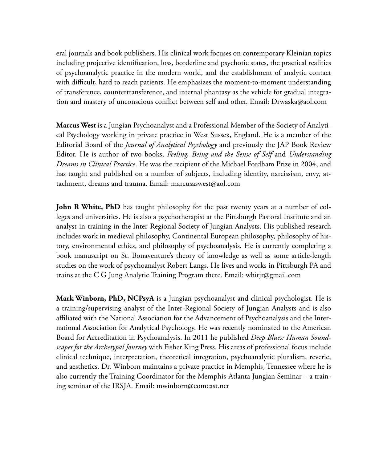eral journals and book publishers. His clinical work focuses on contemporary Kleinian topics including projective identification, loss, borderline and psychotic states, the practical realities of psychoanalytic practice in the modern world, and the establishment of analytic contact with difficult, hard to reach patients. He emphasizes the moment-to-moment understanding of transference, countertransference, and internal phantasy as the vehicle for gradual integration and mastery of unconscious conflict between self and other. Email: Drwaska@aol.com

**Marcus West** is a Jungian Psychoanalyst and a Professional Member of the Society of Analytical Psychology working in private practice in West Sussex, England. He is a member of the Editorial Board of the *Journal of Analytical Psychology* and previously the JAP Book Review Editor. He is author of two books, *Feeling, Being and the Sense of Self* and *Understanding Dreams in Clinical Practice*. He was the recipient of the Michael Fordham Prize in 2004, and has taught and published on a number of subjects, including identity, narcissism, envy, attachment, dreams and trauma. Email: marcusaswest@aol.com

John R White, PhD has taught philosophy for the past twenty years at a number of colleges and universities. He is also a psychotherapist at the Pittsburgh Pastoral Institute and an analyst-in-training in the Inter-Regional Society of Jungian Analysts. His published research includes work in medieval philosophy, Continental European philosophy, philosophy of history, environmental ethics, and philosophy of psychoanalysis. He is currently completing a book manuscript on St. Bonaventure's theory of knowledge as well as some article-length studies on the work of psychoanalyst Robert Langs. He lives and works in Pittsburgh PA and trains at the C G Jung Analytic Training Program there. Email: whitjr@gmail.com

**Mark Winborn, PhD, NCPsyA** is a Jungian psychoanalyst and clinical psychologist. He is a training/supervising analyst of the Inter-Regional Society of Jungian Analysts and is also affiliated with the National Association for the Advancement of Psychoanalysis and the International Association for Analytical Psychology. He was recently nominated to the American Board for Accreditation in Psychoanalysis. In 2011 he published *Deep Blues: Human Soundscapes for the Archetypal Journey* with Fisher King Press. His areas of professional focus include clinical technique, interpretation, theoretical integration, psychoanalytic pluralism, reverie, and aesthetics. Dr. Winborn maintains a private practice in Memphis, Tennessee where he is also currently the Training Coordinator for the Memphis-Atlanta Jungian Seminar – a training seminar of the IRSJA. Email: mwinborn@comcast.net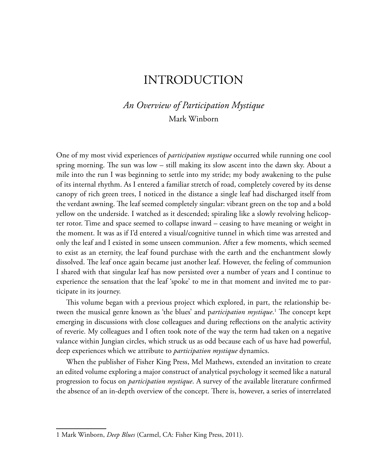## INTRODUCTION

## *An Overview of Participation Mystique* Mark Winborn

One of my most vivid experiences of *participation mystique* occurred while running one cool spring morning. The sun was low – still making its slow ascent into the dawn sky. About a mile into the run I was beginning to settle into my stride; my body awakening to the pulse of its internal rhythm. As I entered a familiar stretch of road, completely covered by its dense canopy of rich green trees, I noticed in the distance a single leaf had discharged itself from the verdant awning. The leaf seemed completely singular: vibrant green on the top and a bold yellow on the underside. I watched as it descended; spiraling like a slowly revolving helicopter rotor. Time and space seemed to collapse inward – ceasing to have meaning or weight in the moment. It was as if I'd entered a visual/cognitive tunnel in which time was arrested and only the leaf and I existed in some unseen communion. After a few moments, which seemed to exist as an eternity, the leaf found purchase with the earth and the enchantment slowly dissolved. The leaf once again became just another leaf. However, the feeling of communion I shared with that singular leaf has now persisted over a number of years and I continue to experience the sensation that the leaf 'spoke' to me in that moment and invited me to participate in its journey.

This volume began with a previous project which explored, in part, the relationship between the musical genre known as 'the blues' and p*articipation mystique*. 1 The concept kept emerging in discussions with close colleagues and during reflections on the analytic activity of reverie. My colleagues and I often took note of the way the term had taken on a negative valance within Jungian circles, which struck us as odd because each of us have had powerful, deep experiences which we attribute to *participation mystique* dynamics.

When the publisher of Fisher King Press, Mel Mathews, extended an invitation to create an edited volume exploring a major construct of analytical psychology it seemed like a natural progression to focus on *participation mystique*. A survey of the available literature confirmed the absence of an in-depth overview of the concept. There is, however, a series of interrelated

<sup>1</sup> Mark Winborn, *Deep Blues* (Carmel, CA: Fisher King Press, 2011).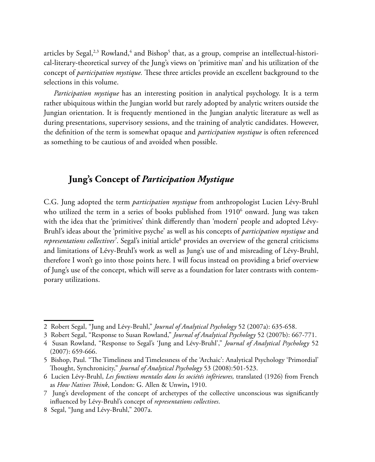articles by Segal,<sup>2,3</sup> Rowland,<sup>4</sup> and Bishop<sup>5</sup> that, as a group, comprise an intellectual-historical-literary-theoretical survey of the Jung's views on 'primitive man' and his utilization of the concept of *participation mystique.* These three articles provide an excellent background to the selections in this volume.

*Participation mystique* has an interesting position in analytical psychology. It is a term rather ubiquitous within the Jungian world but rarely adopted by analytic writers outside the Jungian orientation. It is frequently mentioned in the Jungian analytic literature as well as during presentations, supervisory sessions, and the training of analytic candidates. However, the definition of the term is somewhat opaque and *participation mystique* is often referenced as something to be cautious of and avoided when possible.

## **Jung's Concept of** *Participation Mystique*

C.G. Jung adopted the term *participation mystique* from anthropologist Lucien Lévy-Bruhl who utilized the term in a series of books published from 1910<sup>6</sup> onward. Jung was taken with the idea that the 'primitives' think differently than 'modern' people and adopted Lévy-Bruhl's ideas about the 'primitive psyche' as well as his concepts of *participation mystique* and representations collectives<sup>7</sup>. Segal's initial article<sup>8</sup> provides an overview of the general criticisms and limitations of Lévy-Bruhl's work as well as Jung's use of and misreading of Lévy-Bruhl, therefore I won't go into those points here. I will focus instead on providing a brief overview of Jung's use of the concept, which will serve as a foundation for later contrasts with contemporary utilizations.

<sup>2</sup> Robert Segal, "Jung and Lévy-Bruhl," *Journal of Analytical Psychology* 52 (2007a): 635-658.

<sup>3</sup> Robert Segal, "Response to Susan Rowland," *Journal of Analytical Psychology* 52 (2007b): 667-771.

<sup>4</sup> Susan Rowland, "Response to Segal's 'Jung and Lévy-Bruhl'," *Journal of Analytical Psychology* 52 (2007): 659-666.

<sup>5</sup> Bishop, Paul. "The Timeliness and Timelessness of the 'Archaic': Analytical Psychology 'Primordial' Thought, Synchronicity," *Journal of Analytical Psychology* 53 (2008):501-523.

<sup>6</sup> Lucien Lévy-Bruhl, *Les fonctions mentales dans les sociétés inférieures,* translated (1926) from French as *How Natives Think*, London: G. Allen & Unwin**,** 1910.

<sup>7</sup> Jung's development of the concept of archetypes of the collective unconscious was significantly influenced by Lévy-Bruhl's concept of *representations collectives*.

<sup>8</sup> Segal, "Jung and Lévy-Bruhl," 2007a.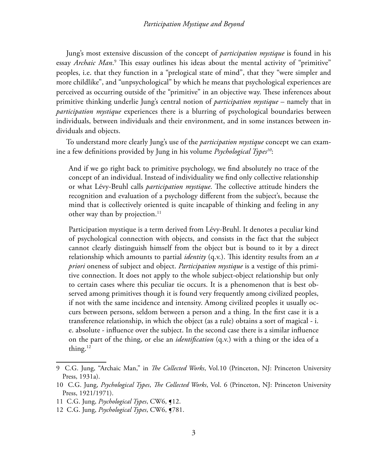Jung's most extensive discussion of the concept of *participation mystique* is found in his essay *Archaic Man*.<sup>9</sup> This essay outlines his ideas about the mental activity of "primitive" peoples, i.e. that they function in a "prelogical state of mind", that they "were simpler and more childlike", and "unpsychological" by which he means that psychological experiences are perceived as occurring outside of the "primitive" in an objective way. These inferences about primitive thinking underlie Jung's central notion of *participation mystique* – namely that in *participation mystique* experiences there is a blurring of psychological boundaries between individuals, between individuals and their environment, and in some instances between individuals and objects.

To understand more clearly Jung's use of the *participation mystique* concept we can examine a few definitions provided by Jung in his volume *Psychological Types10*:

And if we go right back to primitive psychology, we find absolutely no trace of the concept of an individual. Instead of individuality we find only collective relationship or what Lévy-Bruhl calls *participation mystique*. The collective attitude hinders the recognition and evaluation of a psychology different from the subject's, because the mind that is collectively oriented is quite incapable of thinking and feeling in any other way than by projection. 11

Participation mystique is a term derived from Lévy-Bruhl. It denotes a peculiar kind of psychological connection with objects, and consists in the fact that the subject cannot clearly distinguish himself from the object but is bound to it by a direct relationship which amounts to partial *identity* (q.v.). This identity results from an *a priori* oneness of subject and object. *Participation mystique* is a vestige of this primitive connection. It does not apply to the whole subject-object relationship but only to certain cases where this peculiar tie occurs. It is a phenomenon that is best observed among primitives though it is found very frequently among civilized peoples, if not with the same incidence and intensity. Among civilized peoples it usually occurs between persons, seldom between a person and a thing. In the first case it is a transference relationship, in which the object (as a rule) obtains a sort of magical - i. e. absolute - influence over the subject. In the second case there is a similar influence on the part of the thing, or else an *identification* (q.v.) with a thing or the idea of a thing. $12$ 

<sup>9</sup> C.G. Jung, "Archaic Man," in *The Collected Works*, Vol.10 (Princeton, NJ: Princeton University Press, 1931a).

<sup>10</sup> C.G. Jung, *Psychological Types*, *The Collected Works*, Vol. 6 (Princeton, NJ: Princeton University Press, 1921/1971).

<sup>11</sup> C.G. Jung, *Psychological Types*, CW6, ¶12.

<sup>12</sup> C.G. Jung, *Psychological Types*, CW6, ¶781.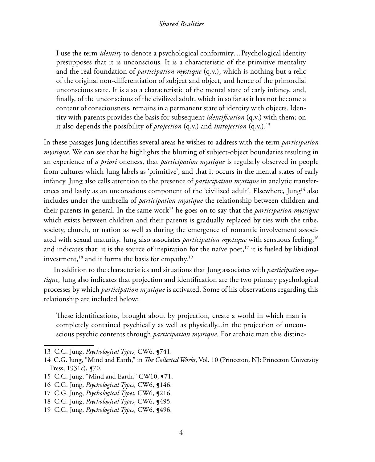#### *Shared Realities*

I use the term *identity* to denote a psychological conformity…Psychological identity presupposes that it is unconscious. It is a characteristic of the primitive mentality and the real foundation of *participation mystique* (q.v.), which is nothing but a relic of the original non-differentiation of subject and object, and hence of the primordial unconscious state. It is also a characteristic of the mental state of early infancy, and, finally, of the unconscious of the civilized adult, which in so far as it has not become a content of consciousness, remains in a permanent state of identity with objects. Identity with parents provides the basis for subsequent *identification* (q.v.) with them; on it also depends the possibility of *projection* (q.v.) and *introjection* (q.v.).13

In these passages Jung identifies several areas he wishes to address with the term *participation mystique*. We can see that he highlights the blurring of subject-object boundaries resulting in an experience of *a priori* oneness, that *participation mystique* is regularly observed in people from cultures which Jung labels as 'primitive', and that it occurs in the mental states of early infancy. Jung also calls attention to the presence of *participation mystique* in analytic transferences and lastly as an unconscious component of the 'civilized adult'. Elsewhere, Jung<sup>14</sup> also includes under the umbrella of *participation mystique* the relationship between children and their parents in general. In the same work<sup>15</sup> he goes on to say that the *participation mystique* which exists between children and their parents is gradually replaced by ties with the tribe, society, church, or nation as well as during the emergence of romantic involvement associated with sexual maturity. Jung also associates *participation mystique* with sensuous feeling,16 and indicates that: it is the source of inspiration for the naïve poet,<sup>17</sup> it is fueled by libidinal investment, $^{18}$  and it forms the basis for empathy. $^{19}$ 

In addition to the characteristics and situations that Jung associates with *participation mystique,* Jung also indicates that projection and identification are the two primary psychological processes by which *participation mystique* is activated. Some of his observations regarding this relationship are included below:

These identifications, brought about by projection, create a world in which man is completely contained psychically as well as physically...in the projection of unconscious psychic contents through *participation mystique.* For archaic man this distinc-

<sup>13</sup> C.G. Jung, *Psychological Types*, CW6, ¶741.

<sup>14</sup> C.G. Jung, "Mind and Earth," in *The Collected Works*, Vol. 10 (Princeton, NJ: Princeton University Press, 1931c), ¶70.

<sup>15</sup> C.G. Jung, "Mind and Earth," CW10, 171.

<sup>16</sup> C.G. Jung, *Psychological Types*, CW6, ¶146.

<sup>17</sup> C.G. Jung, *Psychological Types*, CW6, ¶216.

<sup>18</sup> C.G. Jung, *Psychological Types*, CW6, ¶495.

<sup>19</sup> C.G. Jung, *Psychological Types*, CW6, ¶496.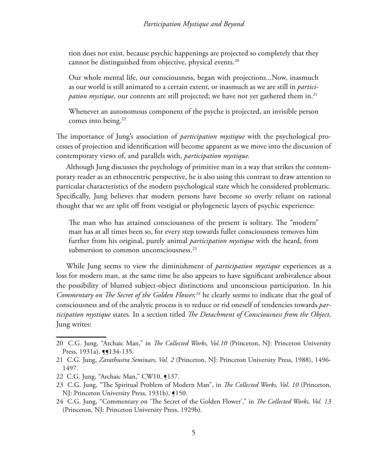tion does not exist, because psychic happenings are projected so completely that they cannot be distinguished from objective, physical events.<sup>20</sup>

Our whole mental life, our consciousness, began with projections...Now, inasmuch as our world is still animated to a certain extent, or inasmuch as we are still in *participation mystique*, our contents are still projected; we have not yet gathered them in.<sup>21</sup>

Whenever an autonomous component of the psyche is projected, an invisible person comes into being.<sup>22</sup>

The importance of Jung's association of *participation mystique* with the psychological processes of projection and identification will become apparent as we move into the discussion of contemporary views of, and parallels with, *participation mystique.*

Although Jung discusses the psychology of primitive man in a way that strikes the contemporary reader as an ethnocentric perspective, he is also using this contrast to draw attention to particular characteristics of the modern psychological state which he considered problematic. Specifically, Jung believes that modern persons have become so overly reliant on rational thought that we are split off from vestigial or phylogenetic layers of psychic experience:

The man who has attained consciousness of the present is solitary. The "modern" man has at all times been so, for every step towards fuller consciousness removes him further from his original, purely animal *participation mystique* with the heard, from submersion to common unconsciousness.<sup>23</sup>

While Jung seems to view the diminishment of *participation mystique* experiences as a loss for modern man, at the same time he also appears to have significant ambivalence about the possibility of blurred subject-object distinctions and unconscious participation. In his *Commentary on The Secret of the Golden Flower*,<sup>24</sup> he clearly seems to indicate that the goal of consciousness and of the analytic process is to reduce or rid oneself of tendencies towards *participation mystique* states*.* In a section titled *The Detachment of Consciousness from the Object,* Jung writes:

- 22 C.G. Jung, "Archaic Man," CW10, ¶137.
- 23 C.G. Jung, "The Spiritual Problem of Modern Man", in *The Collected Works, Vol. 10* (Princeton, NJ: Princeton University Press, 1931b), 150.
- 24 C.G. Jung, "Commentary on 'The Secret of the Golden Flower'," in *The Collected Works, Vol. 13* (Princeton, NJ: Princeton University Press, 1929b).

<sup>20</sup> C.G. Jung, "Archaic Man," in *The Collected Works, Vol.10* (Princeton, NJ: Princeton University Press, 1931a), **[**[134-135.]

<sup>21</sup> C.G. Jung, *Zarathustra Seminars, Vol. 2* (Princeton, NJ: Princeton University Press, 1988), 1496- 1497.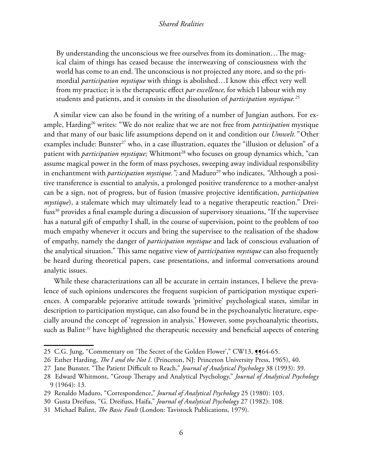#### *Shared Realities*

By understanding the unconscious we free ourselves from its domination…The magical claim of things has ceased because the interweaving of consciousness with the world has come to an end. The unconscious is not projected any more, and so the primordial *participation mystique* with things is abolished…I know this effect very well from my practice; it is the therapeutic effect *par excellence,* for which I labour with my students and patients, and it consists in the dissolution of *participation mystique.25*

A similar view can also be found in the writing of a number of Jungian authors. For example, Harding26 writes: "We do not realize that we are not free from *participation* mystique and that many of our basic life assumptions depend on it and condition our *Umwelt."* Other examples include: Bunster<sup>27</sup> who, in a case illustration, equates the "illusion or delusion" of a patient with *participation mystique*; Whitmont<sup>28</sup> who focuses on group dynamics which, "can assume magical power in the form of mass psychoses, sweeping away individual responsibility in enchantment with *participation mystique.*"; and Maduro<sup>29</sup> who indicates, "Although a positive transference is essential to analysis, a prolonged positive transference to a mother-analyst can be a sign, not of progress, but of fusion (massive projective identification, *participation mystique*), a stalemate which may ultimately lead to a negative therapeutic reaction." Dreifuss<sup>30</sup> provides a final example during a discussion of supervisory situations, "If the supervisee has a natural gift of empathy I shall, in the course of supervision, point to the problem of too much empathy whenever it occurs and bring the supervisee to the realisation of the shadow of empathy, namely the danger of *participation mystique* and lack of conscious evaluation of the analytical situation." This same negative view of *participation mystique* can also frequently be heard during theoretical papers, case presentations, and informal conversations around analytic issues.

While these characterizations can all be accurate in certain instances, I believe the prevalence of such opinions underscores the frequent suspicion of participation mystique experiences. A comparable pejorative attitude towards 'primitive' psychological states, similar in description to participation mystique, can also found be in the psychoanalytic literature, especially around the concept of 'regression in analysis.' However, some psychoanalytic theorists, such as Balint<sup>31</sup> have highlighted the therapeutic necessity and beneficial aspects of entering

<sup>25</sup> C.G. Jung, "Commentary on 'The Secret of the Golden Flower'," CW13, 1164-65.

<sup>26</sup> Esther Harding, *The I and the Not I*. (Princeton, NJ: Princeton University Press, 1965), 40.

<sup>27</sup> Jane Bunster, "The Patient Difficult to Reach," *Journal of Analytical Psychology* 38 (1993): 39.

<sup>28</sup> Edward Whitmont, "Group Therapy and Analytical Psychology," *Journal of Analytical Psychology* 9 (1964): 13.

<sup>29</sup> Renaldo Maduro, "Correspondence," *Journal of Analytical Psychology* 25 (1980): 103.

<sup>30</sup> Gusta Dreifuss, "G. Dreifuss, Haifa," *Journal of Analytical Psychology* 27 (1982): 108.

<sup>31</sup> Michael Balint, *The Basic Fault* (London: Tavistock Publications, 1979).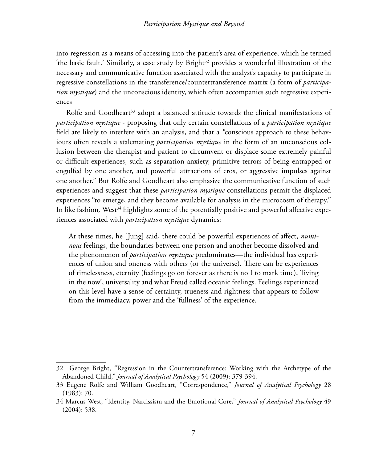#### *Participation Mystique and Beyond*

into regression as a means of accessing into the patient's area of experience, which he termed 'the basic fault.' Similarly, a case study by Bright<sup>32</sup> provides a wonderful illustration of the necessary and communicative function associated with the analyst's capacity to participate in regressive constellations in the transference/countertransference matrix (a form of *participation mystique*) and the unconscious identity, which often accompanies such regressive experiences

Rolfe and Goodheart<sup>33</sup> adopt a balanced attitude towards the clinical manifestations of *participation mystique* - proposing that only certain constellations of a *participation mystique* field are likely to interfere with an analysis, and that a *"*conscious approach to these behaviours often reveals a stalemating *participation mystique* in the form of an unconscious collusion between the therapist and patient to circumvent or displace some extremely painful or difficult experiences, such as separation anxiety, primitive terrors of being entrapped or engulfed by one another, and powerful attractions of eros, or aggressive impulses against one another." But Rolfe and Goodheart also emphasize the communicative function of such experiences and suggest that these *participation mystique* constellations permit the displaced experiences "to emerge, and they become available for analysis in the microcosm of therapy." In like fashion, West<sup>34</sup> highlights some of the potentially positive and powerful affective experiences associated with *participation mystique* dynamics:

At these times, he [Jung] said, there could be powerful experiences of affect, *numinous* feelings, the boundaries between one person and another become dissolved and the phenomenon of *participation mystique* predominates—the individual has experiences of union and oneness with others (or the universe). There can be experiences of timelessness, eternity (feelings go on forever as there is no I to mark time), 'living in the now', universality and what Freud called oceanic feelings. Feelings experienced on this level have a sense of certainty, trueness and rightness that appears to follow from the immediacy, power and the 'fullness' of the experience.

<sup>32</sup> George Bright, "Regression in the Countertransference: Working with the Archetype of the Abandoned Child," *Journal of Analytical Psychology* 54 (2009): 379-394.

<sup>33</sup> Eugene Rolfe and William Goodheart, "Correspondence," *Journal of Analytical Psychology* 28 (1983): 70.

<sup>34</sup> Marcus West, "Identity, Narcissism and the Emotional Core," *Journal of Analytical Psychology* 49 (2004): 538.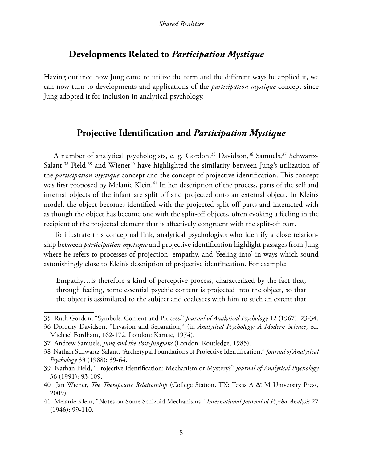## **Developments Related to** *Participation Mystique*

Having outlined how Jung came to utilize the term and the different ways he applied it, we can now turn to developments and applications of the *participation mystique* concept since Jung adopted it for inclusion in analytical psychology.

## **Projective Identification and** *Participation Mystique*

A number of analytical psychologists, e. g. Gordon, 35 Davidson, 36 Samuels, 37 Schwartz-Salant,<sup>38</sup> Field,<sup>39</sup> and Wiener<sup>40</sup> have highlighted the similarity between Jung's utilization of the *participation mystique* concept and the concept of projective identification. This concept was first proposed by Melanie Klein. 41 In her description of the process, parts of the self and internal objects of the infant are split off and projected onto an external object. In Klein's model, the object becomes identified with the projected split-off parts and interacted with as though the object has become one with the split-off objects, often evoking a feeling in the recipient of the projected element that is affectively congruent with the split-off part.

To illustrate this conceptual link, analytical psychologists who identify a close relationship between *participation mystique* and projective identification highlight passages from Jung where he refers to processes of projection, empathy, and 'feeling-into' in ways which sound astonishingly close to Klein's description of projective identification. For example:

Empathy…is therefore a kind of perceptive process, characterized by the fact that, through feeling, some essential psychic content is projected into the object, so that the object is assimilated to the subject and coalesces with him to such an extent that

<sup>35</sup> Ruth Gordon, "Symbols: Content and Process," *Journal of Analytical Psychology* 12 (1967): 23-34.

<sup>36</sup> Dorothy Davidson, "Invasion and Separation," (in *Analytical Psychology: A Modern Science*, ed. Michael Fordham, 162-172. London: Karnac, 1974).

<sup>37</sup> Andrew Samuels, *Jung and the Post-Jungians* (London: Routledge, 1985).

<sup>38</sup> Nathan Schwartz-Salant, "Archetypal Foundations of Projective Identification," *Journal of Analytical Psychology* 33 (1988): 39-64.

<sup>39</sup> Nathan Field, "Projective Identification: Mechanism or Mystery?" *Journal of Analytical Psychology* 36 (1991): 93-109.

<sup>40</sup> Jan Wiener, *The Therapeutic Relationship* (College Station, TX: Texas A & M University Press, 2009).

<sup>41</sup> Melanie Klein, "Notes on Some Schizoid Mechanisms," *International Journal of Psycho-Analysis* 27 (1946): 99-110.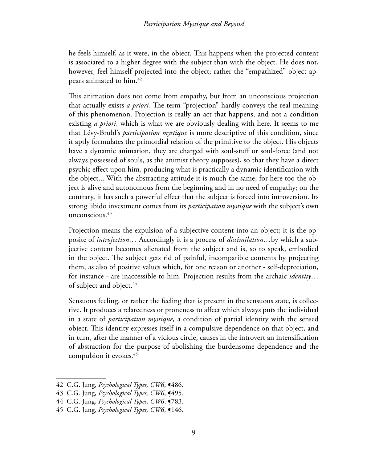he feels himself, as it were, in the object. This happens when the projected content is associated to a higher degree with the subject than with the object. He does not, however, feel himself projected into the object; rather the "empathized" object appears animated to him.42

This animation does not come from empathy, but from an unconscious projection that actually exists *a priori.* The term "projection" hardly conveys the real meaning of this phenomenon. Projection is really an act that happens, and not a condition existing *a priori,* which is what we are obviously dealing with here. It seems to me that Lévy-Bruhl's *participation mystique* is more descriptive of this condition, since it aptly formulates the primordial relation of the primitive to the object. His objects have a dynamic animation, they are charged with soul-stuff or soul-force (and not always possessed of souls, as the animist theory supposes), so that they have a direct psychic effect upon him, producing what is practically a dynamic identification with the object... With the abstracting attitude it is much the same, for here too the object is alive and autonomous from the beginning and in no need of empathy; on the contrary, it has such a powerful effect that the subject is forced into introversion. Its strong libido investment comes from its *participation mystique* with the subject's own unconscious.<sup>43</sup>

Projection means the expulsion of a subjective content into an object; it is the opposite of *introjection…* Accordingly it is a process of *dissimilation…*by which a subjective content becomes alienated from the subject and is, so to speak, embodied in the object. The subject gets rid of painful, incompatible contents by projecting them, as also of positive values which, for one reason or another - self-depreciation, for instance - are inaccessible to him. Projection results from the archaic *identity*… of subject and object. 44

Sensuous feeling, or rather the feeling that is present in the sensuous state, is collective. It produces a relatedness or proneness to affect which always puts the individual in a state of *participation mystique,* a condition of partial identity with the sensed object. This identity expresses itself in a compulsive dependence on that object, and in turn, after the manner of a vicious circle, causes in the introvert an intensification of abstraction for the purpose of abolishing the burdensome dependence and the compulsion it evokes.<sup>45</sup>

<sup>42</sup> C.G. Jung, *Psychological Types, CW6*, ¶486.

<sup>43</sup> C.G. Jung, *Psychological Types, CW6*, ¶495.

<sup>44</sup> C.G. Jung, *Psychological Types, CW6*, ¶783.

<sup>45</sup> C.G. Jung, *Psychological Types, CW6*, ¶146.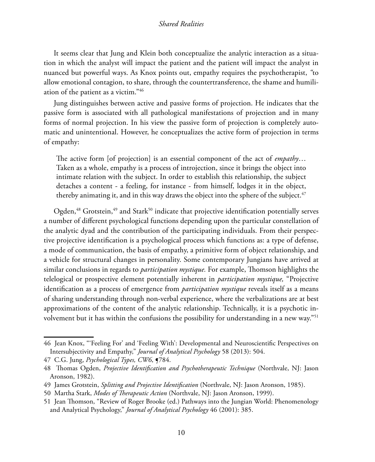#### *Shared Realities*

It seems clear that Jung and Klein both conceptualize the analytic interaction as a situation in which the analyst will impact the patient and the patient will impact the analyst in nuanced but powerful ways. As Knox points out, empathy requires the psychotherapist, *"*to allow emotional contagion, to share, through the countertransference, the shame and humiliation of the patient as a victim."46

Jung distinguishes between active and passive forms of projection. He indicates that the passive form is associated with all pathological manifestations of projection and in many forms of normal projection. In his view the passive form of projection is completely automatic and unintentional. However, he conceptualizes the active form of projection in terms of empathy:

The active form [of projection] is an essential component of the act of *empathy*… Taken as a whole, empathy is a process of introjection, since it brings the object into intimate relation with the subject. In order to establish this relationship, the subject detaches a content - a feeling, for instance - from himself, lodges it in the object, thereby animating it, and in this way draws the object into the sphere of the subject.<sup>47</sup>

Ogden,<sup>48</sup> Grotstein,<sup>49</sup> and Stark<sup>50</sup> indicate that projective identification potentially serves a number of different psychological functions depending upon the particular constellation of the analytic dyad and the contribution of the participating individuals. From their perspective projective identification is a psychological process which functions as: a type of defense, a mode of communication, the basis of empathy, a primitive form of object relationship, and a vehicle for structural changes in personality. Some contemporary Jungians have arrived at similar conclusions in regards to *participation mystique.* For example, Thomson highlights the telelogical or prospective element potentially inherent in *participation mystique,* "Projective identification as a process of emergence from *participation mystique* reveals itself as a means of sharing understanding through non-verbal experience, where the verbalizations are at best approximations of the content of the analytic relationship. Technically, it is a psychotic involvement but it has within the confusions the possibility for understanding in a new way."<sup>51</sup>

<sup>46</sup> Jean Knox, "'Feeling For' and 'Feeling With': Developmental and Neuroscientific Perspectives on Intersubjectivity and Empathy," *Journal of Analytical Psychology* 58 (2013): 504.

<sup>47</sup> C.G. Jung, *Psychological Types, CW6*, 1784.

<sup>48</sup> Thomas Ogden, *Projective Identification and Psychotherapeutic Technique* (Northvale, NJ: Jason Aronson, 1982).

<sup>49</sup> James Grotstein, *Splitting and Projective Identification* (Northvale, NJ: Jason Aronson, 1985).

<sup>50</sup> Martha Stark, *Modes of Therapeutic Action* (Northvale, NJ: Jason Aronson, 1999).

<sup>51</sup> Jean Thomson, "Review of Roger Brooke (ed.) Pathways into the Jungian World: Phenomenology and Analytical Psychology," *Journal of Analytical Psychology* 46 (2001): 385.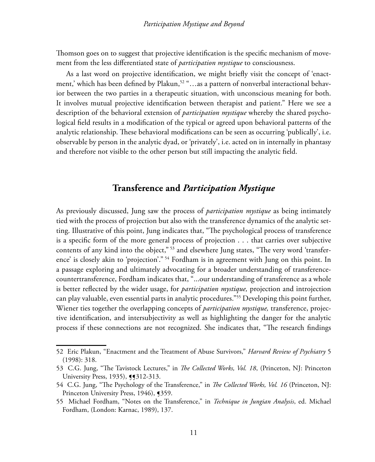Thomson goes on to suggest that projective identification is the specific mechanism of movement from the less differentiated state of *participation mystique* to consciousness.

As a last word on projective identification, we might briefly visit the concept of 'enactment,' which has been defined by Plakun, 52 "…as a pattern of nonverbal interactional behavior between the two parties in a therapeutic situation, with unconscious meaning for both. It involves mutual projective identification between therapist and patient." Here we see a description of the behavioral extension of *participation mystique* whereby the shared psychological field results in a modification of the typical or agreed upon behavioral patterns of the analytic relationship. These behavioral modifications can be seen as occurring 'publically', i.e. observable by person in the analytic dyad, or 'privately', i.e. acted on in internally in phantasy and therefore not visible to the other person but still impacting the analytic field.

## **Transference and** *Participation Mystique*

As previously discussed, Jung saw the process of *participation mystique* as being intimately tied with the process of projection but also with the transference dynamics of the analytic setting. Illustrative of this point, Jung indicates that, "The psychological process of transference is a specific form of the more general process of projection . . . that carries over subjective contents of any kind into the object," 53 and elsewhere Jung states, "The very word 'transference' is closely akin to 'projection'." 54 Fordham is in agreement with Jung on this point. In a passage exploring and ultimately advocating for a broader understanding of transferencecountertransference, Fordham indicates that, "...our understanding of transference as a whole is better reflected by the wider usage, for *participation mystique,* projection and introjection can play valuable, even essential parts in analytic procedures."55 Developing this point further, Wiener ties together the overlapping concepts of *participation mystique,* transference, projective identification, and intersubjectivity as well as highlighting the danger for the analytic process if these connections are not recognized. She indicates that, "The research findings

<sup>52</sup> Eric Plakun, "Enactment and the Treatment of Abuse Survivors," *Harvard Review of Psychiatry* 5 (1998): 318.

<sup>53</sup> C.G. Jung, "The Tavistock Lectures," in *The Collected Works, Vol. 18*, (Princeton, NJ: Princeton University Press, 1935), **14312-313.** 

<sup>54</sup> C.G. Jung, "The Psychology of the Transference," in *The Collected Works, Vol. 16* (Princeton, NJ: Princeton University Press, 1946), ¶359.

<sup>55</sup> Michael Fordham, "Notes on the Transference," in *Technique in Jungian Analysis*, ed. Michael Fordham, (London: Karnac, 1989), 137.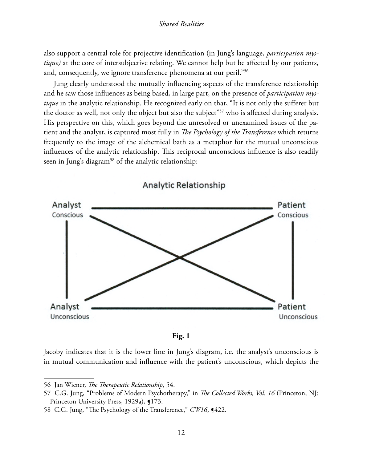#### *Shared Realities*

also support a central role for projective identification (in Jung's language, *participation mystique)* at the core of intersubjective relating. We cannot help but be affected by our patients, and, consequently, we ignore transference phenomena at our peril."<sup>56</sup>

Jung clearly understood the mutually influencing aspects of the transference relationship and he saw those influences as being based, in large part, on the presence of *participation mystique* in the analytic relationship. He recognized early on that, "It is not only the sufferer but the doctor as well, not only the object but also the subject"57 who is affected during analysis. His perspective on this, which goes beyond the unresolved or unexamined issues of the patient and the analyst, is captured most fully in *The Psychology of the Transference* which returns frequently to the image of the alchemical bath as a metaphor for the mutual unconscious influences of the analytic relationship. This reciprocal unconscious influence is also readily seen in Jung's diagram<sup>58</sup> of the analytic relationship:





Jacoby indicates that it is the lower line in Jung's diagram, i.e. the analyst's unconscious is in mutual communication and influence with the patient's unconscious, which depicts the

<sup>56</sup> Jan Wiener, *The Therapeutic Relationship*, 54.

<sup>57</sup> C.G. Jung, "Problems of Modern Psychotherapy," in *The Collected Works, Vol. 16* (Princeton, NJ: Princeton University Press, 1929a), ¶173.

<sup>58</sup> C.G. Jung, "The Psychology of the Transference," *CW16*, **5422**.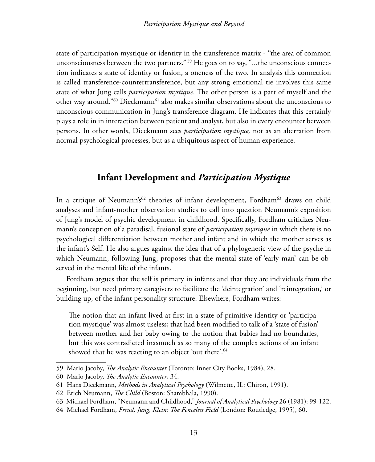state of participation mystique or identity in the transference matrix - "the area of common unconsciousness between the two partners." 59 He goes on to say, "...the unconscious connection indicates a state of identity or fusion, a oneness of the two. In analysis this connection is called transference-countertransference, but any strong emotional tie involves this same state of what Jung calls *participation mystique*. The other person is a part of myself and the other way around."<sup>60</sup> Dieckmann<sup>61</sup> also makes similar observations about the unconscious to unconscious communication in Jung's transference diagram. He indicates that this certainly plays a role in in interaction between patient and analyst, but also in every encounter between persons. In other words, Dieckmann sees *participation mystique,* not as an aberration from normal psychological processes, but as a ubiquitous aspect of human experience.

## **Infant Development and** *Participation Mystique*

In a critique of Neumann's<sup>62</sup> theories of infant development, Fordham<sup>63</sup> draws on child analyses and infant-mother observation studies to call into question Neumann's exposition of Jung's model of psychic development in childhood. Specifically, Fordham criticizes Neumann's conception of a paradisal, fusional state of *participation mystique* in which there is no psychological differentiation between mother and infant and in which the mother serves as the infant's Self. He also argues against the idea that of a phylogenetic view of the psyche in which Neumann, following Jung, proposes that the mental state of 'early man' can be observed in the mental life of the infants.

Fordham argues that the self is primary in infants and that they are individuals from the beginning, but need primary caregivers to facilitate the 'deintegration' and 'reintegration,' or building up, of the infant personality structure. Elsewhere, Fordham writes:

The notion that an infant lived at first in a state of primitive identity or 'participation mystique' was almost useless; that had been modified to talk of a 'state of fusion' between mother and her baby owing to the notion that babies had no boundaries, but this was contradicted inasmuch as so many of the complex actions of an infant showed that he was reacting to an object 'out there'.<sup>64</sup>

<sup>59</sup> Mario Jacoby, *The Analytic Encounter* (Toronto: Inner City Books, 1984), 28.

<sup>60</sup> Mario Jacoby, *The Analytic Encounter*, 34.

<sup>61</sup> Hans Dieckmann, *Methods in Analytical Psychology* (Wilmette, IL: Chiron, 1991).

<sup>62</sup> Erich Neumann, *The Child* (Boston: Shambhala, 1990).

<sup>63</sup> Michael Fordham, "Neumann and Childhood," *Journal of Analytical Psychology* 26 (1981): 99-122.

<sup>64</sup> Michael Fordham, *Freud, Jung, Klein: The Fenceless Field* (London: Routledge, 1995), 60.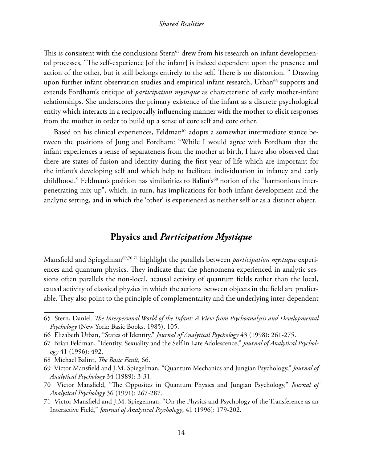#### *Shared Realities*

This is consistent with the conclusions Stern<sup>65</sup> drew from his research on infant developmental processes, "The self-experience [of the infant] is indeed dependent upon the presence and action of the other, but it still belongs entirely to the self. There is no distortion. " Drawing upon further infant observation studies and empirical infant research, Urban<sup>66</sup> supports and extends Fordham's critique of *participation mystique* as characteristic of early mother-infant relationships. She underscores the primary existence of the infant as a discrete psychological entity which interacts in a reciprocally influencing manner with the mother to elicit responses from the mother in order to build up a sense of core self and core other.

Based on his clinical experiences, Feldman<sup>67</sup> adopts a somewhat intermediate stance between the positions of Jung and Fordham: "While I would agree with Fordham that the infant experiences a sense of separateness from the mother at birth, I have also observed that there are states of fusion and identity during the first year of life which are important for the infant's developing self and which help to facilitate individuation in infancy and early childhood." Feldman's position has similarities to Balint's<sup>68</sup> notion of the "harmonious interpenetrating mix-up", which, in turn, has implications for both infant development and the analytic setting, and in which the 'other' is experienced as neither self or as a distinct object.

## **Physics and** *Participation Mystique*

Mansfield and Spiegelman<sup>69,70,71</sup> highlight the parallels between *participation mystique* experiences and quantum physics. They indicate that the phenomena experienced in analytic sessions often parallels the non-local, acausal activity of quantum fields rather than the local, causal activity of classical physics in which the actions between objects in the field are predictable. They also point to the principle of complementarity and the underlying inter-dependent

<sup>65</sup> Stern, Daniel. *The Interpersonal World of the Infant: A View from Psychoanalysis and Developmental Psychology* (New York: Basic Books, 1985), 105.

<sup>66</sup> Elizabeth Urban, "States of Identity," *Journal of Analytical Psychology* 43 (1998): 261-275.

<sup>67</sup> Brian Feldman, "Identity, Sexuality and the Self in Late Adolescence," *Journal of Analytical Psychology* 41 (1996): 492.

<sup>68</sup> Michael Balint, *The Basic Fault*, 66.

<sup>69</sup> Victor Mansfield and J.M. Spiegelman, "Quantum Mechanics and Jungian Psychology," *Journal of Analytical Psychology* 34 (1989): 3-31.

<sup>70</sup> Victor Mansfield, "The Opposites in Quantum Physics and Jungian Psychology," *Journal of Analytical Psychology* 36 (1991): 267-287.

<sup>71</sup> Victor Mansfield and J.M. Spiegelman, "On the Physics and Psychology of the Transference as an Interactive Field," *Journal of Analytical Psychology*, 41 (1996): 179-202.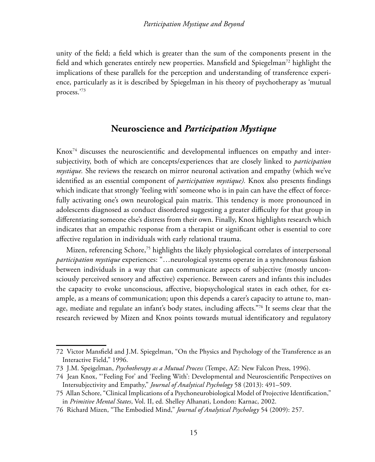#### *Participation Mystique and Beyond*

unity of the field; a field which is greater than the sum of the components present in the field and which generates entirely new properties. Mansfield and Spiegelman72 highlight the implications of these parallels for the perception and understanding of transference experience, particularly as it is described by Spiegelman in his theory of psychotherapy as 'mutual process.'73

## **Neuroscience and** *Participation Mystique*

Knox<sup>74</sup> discusses the neuroscientific and developmental influences on empathy and intersubjectivity, both of which are concepts/experiences that are closely linked to *participation mystique.* She reviews the research on mirror neuronal activation and empathy (which we've identified as an essential component of *participation mystique).* Knox also presents findings which indicate that strongly 'feeling with' someone who is in pain can have the effect of forcefully activating one's own neurological pain matrix. This tendency is more pronounced in adolescents diagnosed as conduct disordered suggesting a greater difficulty for that group in differentiating someone else's distress from their own. Finally, Knox highlights research which indicates that an empathic response from a therapist or significant other is essential to core affective regulation in individuals with early relational trauma.

Mizen, referencing Schore, 75 highlights the likely physiological correlates of interpersonal *participation mystique* experiences: "…neurological systems operate in a synchronous fashion between individuals in a way that can communicate aspects of subjective (mostly unconsciously perceived sensory and affective) experience. Between carers and infants this includes the capacity to evoke unconscious, affective, biopsychological states in each other, for example, as a means of communication; upon this depends a carer's capacity to attune to, manage, mediate and regulate an infant's body states, including affects."<sup>76</sup> It seems clear that the research reviewed by Mizen and Knox points towards mutual identificatory and regulatory

<sup>72</sup> Victor Mansfield and J.M. Spiegelman, "On the Physics and Psychology of the Transference as an Interactive Field," 1996.

<sup>73</sup> J.M. Speigelman, *Psychotherapy as a Mutual Process* (Tempe, AZ: New Falcon Press, 1996).

<sup>74</sup> Jean Knox, "'Feeling For' and 'Feeling With': Developmental and Neuroscientific Perspectives on Intersubjectivity and Empathy," *Journal of Analytical Psychology* 58 (2013): 491–509.

<sup>75</sup> Allan Schore, "Clinical Implications of a Psychoneurobiological Model of Projective Identification," in *Primitive Mental States*, Vol. II, ed. Shelley Alhanati, London: Karnac, 2002.

<sup>76</sup> Richard Mizen, "The Embodied Mind," *Journal of Analytical Psychology* 54 (2009): 257.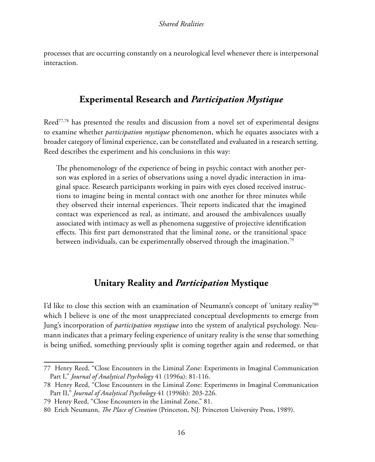processes that are occurring constantly on a neurological level whenever there is interpersonal interaction.

## **Experimental Research and** *Participation Mystique*

Reed77,78 has presented the results and discussion from a novel set of experimental designs to examine whether *participation mystique* phenomenon, which he equates associates with a broader category of liminal experience, can be constellated and evaluated in a research setting. Reed describes the experiment and his conclusions in this way:

The phenomenology of the experience of being in psychic contact with another person was explored in a series of observations using a novel dyadic interaction in imaginal space. Research participants working in pairs with eyes closed received instructions to imagine being in mental contact with one another for three minutes while they observed their internal experiences. Their reports indicated that the imagined contact was experienced as real, as intimate, and aroused the ambivalences usually associated with intimacy as well as phenomena suggestive of projective identification effects. This first part demonstrated that the liminal zone, or the transitional space between individuals, can be experimentally observed through the imagination.79

## **Unitary Reality and** *Participation* **Mystique**

I'd like to close this section with an examination of Neumann's concept of 'unitary reality' 80 which I believe is one of the most unappreciated conceptual developments to emerge from Jung's incorporation of *participation mystique* into the system of analytical psychology. Neumann indicates that a primary feeling experience of unitary reality is the sense that something is being unified, something previously split is coming together again and redeemed, or that

<sup>77</sup> Henry Reed, "Close Encounters in the Liminal Zone: Experiments in Imaginal Communication Part I," *Journal of Analytical Psychology* 41 (1996a): 81-116.

<sup>78</sup> Henry Reed, "Close Encounters in the Liminal Zone: Experiments in Imaginal Communication Part II," *Journal of Analytical Psychology* 41 (1996b): 203-226.

<sup>79</sup> Henry Reed, "Close Encounters in the Liminal Zone," 81.

<sup>80</sup> Erich Neumann, *The Place of Creation* (Princeton, NJ: Princeton University Press, 1989).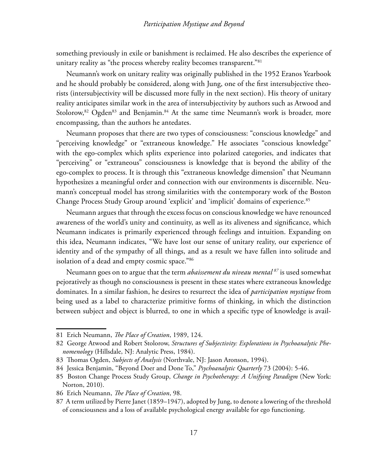something previously in exile or banishment is reclaimed. He also describes the experience of unitary reality as "the process whereby reality becomes transparent."<sup>81</sup>

Neumann's work on unitary reality was originally published in the 1952 Eranos Yearbook and he should probably be considered, along with Jung, one of the first intersubjective theorists (intersubjectivity will be discussed more fully in the next section). His theory of unitary reality anticipates similar work in the area of intersubjectivity by authors such as Atwood and Stolorow,<sup>82</sup> Ogden<sup>83</sup> and Benjamin.<sup>84</sup> At the same time Neumann's work is broader, more encompassing, than the authors he antedates.

Neumann proposes that there are two types of consciousness: "conscious knowledge" and "perceiving knowledge" or "extraneous knowledge." He associates "conscious knowledge" with the ego-complex which splits experience into polarized categories, and indicates that "perceiving" or "extraneous" consciousness is knowledge that is beyond the ability of the ego-complex to process. It is through this "extraneous knowledge dimension" that Neumann hypothesizes a meaningful order and connection with our environments is discernible. Neumann's conceptual model has strong similarities with the contemporary work of the Boston Change Process Study Group around 'explicit' and 'implicit' domains of experience.85

Neumann argues that through the excess focus on conscious knowledge we have renounced awareness of the world's unity and continuity, as well as its aliveness and significance, which Neumann indicates is primarily experienced through feelings and intuition. Expanding on this idea, Neumann indicates, "We have lost our sense of unitary reality, our experience of identity and of the sympathy of all things, and as a result we have fallen into solitude and isolation of a dead and empty cosmic space."86

Neumann goes on to argue that the term *abaissement du niveau mental <sup>87</sup>* is used somewhat pejoratively as though no consciousness is present in these states where extraneous knowledge dominates. In a similar fashion, he desires to resurrect the idea of *participation mystique* from being used as a label to characterize primitive forms of thinking, in which the distinction between subject and object is blurred, to one in which a specific type of knowledge is avail-

<sup>81</sup> Erich Neumann, *The Place of Creation*, 1989, 124.

<sup>82</sup> George Atwood and Robert Stolorow, *Structures of Subjectivity: Explorations in Psychoanalytic Phenomenology* (Hillsdale, NJ: Analytic Press, 1984).

<sup>83</sup> Thomas Ogden, *Subjects of Analysis* (Northvale, NJ: Jason Aronson, 1994).

<sup>84</sup> Jessica Benjamin, "Beyond Doer and Done To," *Psychoanalytic Quarterly* 73 (2004): 5-46.

<sup>85</sup> Boston Change Process Study Group, *Change in Psychotherapy: A Unifying Paradigm* (New York: Norton, 2010).

<sup>86</sup> Erich Neumann, *The Place of Creation*, 98.

<sup>87</sup> A term utilized by Pierre Janet (1859–1947), adopted by Jung, to denote a lowering of the threshold of consciousness and a loss of available psychological energy available for ego functioning.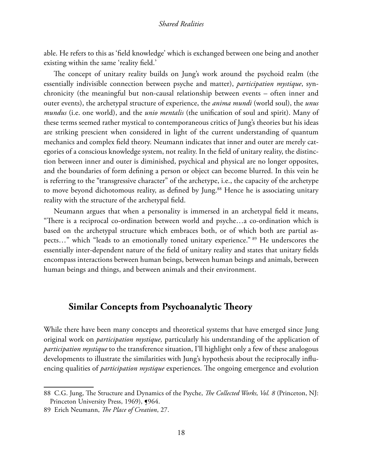able. He refers to this as 'field knowledge' which is exchanged between one being and another existing within the same 'reality field.'

The concept of unitary reality builds on Jung's work around the psychoid realm (the essentially indivisible connection between psyche and matter), *participation mystique*, synchronicity (the meaningful but non-causal relationship between events – often inner and outer events), the archetypal structure of experience, the *anima mundi* (world soul), the *unus mundus* (i.e. one world), and the *unio mentalis* (the unification of soul and spirit). Many of these terms seemed rather mystical to contemporaneous critics of Jung's theories but his ideas are striking prescient when considered in light of the current understanding of quantum mechanics and complex field theory. Neumann indicates that inner and outer are merely categories of a conscious knowledge system, not reality. In the field of unitary reality, the distinction between inner and outer is diminished, psychical and physical are no longer opposites, and the boundaries of form defining a person or object can become blurred. In this vein he is referring to the "transgressive character" of the archetype, i.e., the capacity of the archetype to move beyond dichotomous reality, as defined by Jung.<sup>88</sup> Hence he is associating unitary reality with the structure of the archetypal field.

Neumann argues that when a personality is immersed in an archetypal field it means, "There is a reciprocal co-ordination between world and psyche…a co-ordination which is based on the archetypal structure which embraces both, or of which both are partial aspects..." which "leads to an emotionally toned unitary experience." <sup>89</sup> He underscores the essentially inter-dependent nature of the field of unitary reality and states that unitary fields encompass interactions between human beings, between human beings and animals, between human beings and things, and between animals and their environment.

## **Similar Concepts from Psychoanalytic Theory**

While there have been many concepts and theoretical systems that have emerged since Jung original work on *participation mystique,* particularly his understanding of the application of *participation mystique* to the transference situation, I'll highlight only a few of these analogous developments to illustrate the similarities with Jung's hypothesis about the reciprocally influencing qualities of *participation mystique* experiences. The ongoing emergence and evolution

<sup>88</sup> C.G. Jung, The Structure and Dynamics of the Psyche, *The Collected Works, Vol. 8* (Princeton, NJ: Princeton University Press, 1969), 1964.

<sup>89</sup> Erich Neumann, *The Place of Creation*, 27.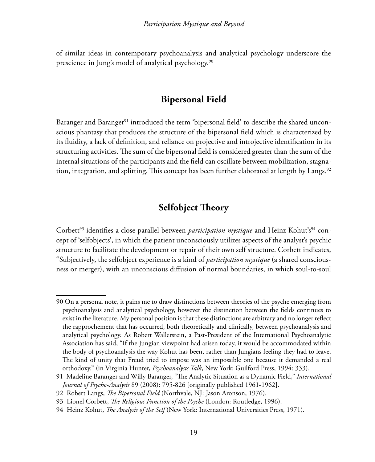of similar ideas in contemporary psychoanalysis and analytical psychology underscore the prescience in Jung's model of analytical psychology.<sup>90</sup>

## **Bipersonal Field**

Baranger and Baranger<sup>91</sup> introduced the term 'bipersonal field' to describe the shared unconscious phantasy that produces the structure of the bipersonal field which is characterized by its fluidity, a lack of definition, and reliance on projective and introjective identification in its structuring activities. The sum of the bipersonal field is considered greater than the sum of the internal situations of the participants and the field can oscillate between mobilization, stagnation, integration, and splitting. This concept has been further elaborated at length by Langs. $^{92}$ 

## **Selfobject Theory**

Corbett<sup>93</sup> identifies a close parallel between *participation mystique* and Heinz Kohut's<sup>94</sup> concept of 'selfobjects', in which the patient unconsciously utilizes aspects of the analyst's psychic structure to facilitate the development or repair of their own self structure. Corbett indicates, "Subjectively, the selfobject experience is a kind of *participation mystique* (a shared consciousness or merger), with an unconscious diffusion of normal boundaries, in which soul-to-soul

<sup>90</sup> On a personal note, it pains me to draw distinctions between theories of the psyche emerging from psychoanalysis and analytical psychology, however the distinction between the fields continues to exist in the literature. My personal position is that these distinctions are arbitrary and no longer reflect the rapprochement that has occurred, both theoretically and clinically, between psychoanalysis and analytical psychology. As Robert Wallerstein, a Past-President of the International Psychoanalytic Association has said, "If the Jungian viewpoint had arisen today, it would be accommodated within the body of psychoanalysis the way Kohut has been, rather than Jungians feeling they had to leave. The kind of unity that Freud tried to impose was an impossible one because it demanded a real orthodoxy." (in Virginia Hunter, *Psychoanalysts Talk*, New York: Guilford Press, 1994: 333).

<sup>91</sup> Madeline Baranger and Willy Baranger, "The Analytic Situation as a Dynamic Field," *International Journal of Psycho-Analysis* 89 (2008): 795-826 [originally published 1961-1962].

<sup>92</sup> Robert Langs, *The Bipersonal Field* (Northvale, NJ: Jason Aronson, 1976).

<sup>93</sup> Lionel Corbett, *The Religious Function of the Psyche* (London: Routledge, 1996).

<sup>94</sup> Heinz Kohut, *The Analysis of the Self* (New York: International Universities Press, 1971).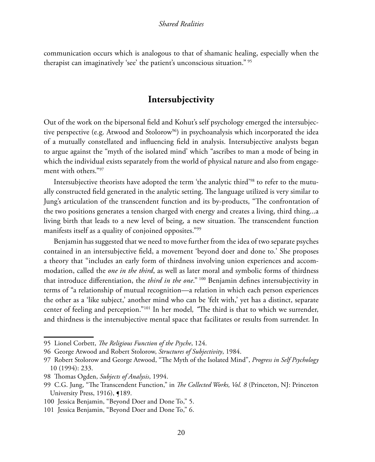#### *Shared Realities*

communication occurs which is analogous to that of shamanic healing, especially when the therapist can imaginatively 'see' the patient's unconscious situation." 95

## **Intersubjectivity**

Out of the work on the bipersonal field and Kohut's self psychology emerged the intersubjective perspective (e.g. Atwood and Stolorow<sup>96</sup>) in psychoanalysis which incorporated the idea of a mutually constellated and influencing field in analysis. Intersubjective analysts began to argue against the "myth of the isolated mind' which "ascribes to man a mode of being in which the individual exists separately from the world of physical nature and also from engagement with others."97

Intersubjective theorists have adopted the term 'the analytic third'98 to refer to the mutually constructed field generated in the analytic setting. The language utilized is very similar to Jung's articulation of the transcendent function and its by-products, "The confrontation of the two positions generates a tension charged with energy and creates a living, third thing...a living birth that leads to a new level of being, a new situation. The transcendent function manifests itself as a quality of conjoined opposites."99

Benjamin has suggested that we need to move further from the idea of two separate psyches contained in an intersubjective field, a movement 'beyond doer and done to.' She proposes a theory that "includes an early form of thirdness involving union experiences and accommodation, called the *one in the third*, as well as later moral and symbolic forms of thirdness that introduce differentiation, the *third in the one*." 100 Benjamin defines intersubjectivity in terms of "a relationship of mutual recognition—a relation in which each person experiences the other as a 'like subject,' another mind who can be 'felt with,' yet has a distinct, separate center of feeling and perception."101 In her model*, "*The third is that to which we surrender, and thirdness is the intersubjective mental space that facilitates or results from surrender. In

<sup>95</sup> Lionel Corbett, *The Religious Function of the Psyche*, 124.

<sup>96</sup> George Atwood and Robert Stolorow, *Structures of Subjectivity*, 1984.

<sup>97</sup> Robert Stolorow and George Atwood, "The Myth of the Isolated Mind", *Progress in Self Psychology* 10 (1994): 233.

<sup>98</sup> Thomas Ogden, *Subjects of Analysis*, 1994.

<sup>99</sup> C.G. Jung, "The Transcendent Function," in *The Collected Works, Vol. 8* (Princeton, NJ: Princeton University Press, 1916), 189.

<sup>100</sup> Jessica Benjamin, "Beyond Doer and Done To," 5.

<sup>101</sup> Jessica Benjamin, "Beyond Doer and Done To," 6.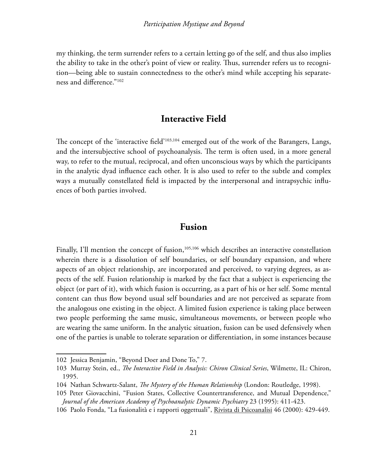my thinking, the term surrender refers to a certain letting go of the self, and thus also implies the ability to take in the other's point of view or reality. Thus, surrender refers us to recognition—being able to sustain connectedness to the other's mind while accepting his separateness and difference."102

## **Interactive Field**

The concept of the 'interactive field'<sup>103,104</sup> emerged out of the work of the Barangers, Langs, and the intersubjective school of psychoanalysis. The term is often used, in a more general way, to refer to the mutual, reciprocal, and often unconscious ways by which the participants in the analytic dyad influence each other. It is also used to refer to the subtle and complex ways a mutually constellated field is impacted by the interpersonal and intrapsychic influences of both parties involved.

## **Fusion**

Finally, I'll mention the concept of fusion,<sup>105,106</sup> which describes an interactive constellation wherein there is a dissolution of self boundaries, or self boundary expansion, and where aspects of an object relationship, are incorporated and perceived, to varying degrees, as aspects of the self. Fusion relationship is marked by the fact that a subject is experiencing the object (or part of it), with which fusion is occurring, as a part of his or her self. Some mental content can thus flow beyond usual self boundaries and are not perceived as separate from the analogous one existing in the object. A limited fusion experience is taking place between two people performing the same music, simultaneous movements, or between people who are wearing the same uniform. In the analytic situation, fusion can be used defensively when one of the parties is unable to tolerate separation or differentiation, in some instances because

<sup>102</sup> Jessica Benjamin, "Beyond Doer and Done To," 7.

<sup>103</sup> Murray Stein, ed., *The Interactive Field in Analysis: Chiron Clinical Series*, Wilmette, IL: Chiron, 1995.

<sup>104</sup> Nathan Schwartz-Salant, *The Mystery of the Human Relationship* (London: Routledge, 1998).

<sup>105</sup> Peter Giovacchini, "Fusion States, Collective Countertransference, and Mutual Dependence," *Journal of the American Academy of Psychoanalytic Dynamic Psychiatry* 23 (1995): 411-423.

<sup>106</sup> Paolo Fonda, "La fusionalità e i rapporti oggettuali", Rivista di Psicoanalisi 46 (2000): 429-449.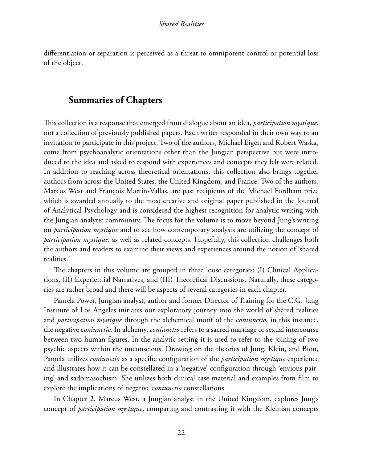differentiation or separation is perceived as a threat to omnipotent control or potential loss of the object.

## **Summaries of Chapters**

This collection is a response that emerged from dialogue about an idea, *participation mystique,* not a collection of previously published papers. Each writer responded in their own way to an invitation to participate in this project. Two of the authors, Michael Eigen and Robert Waska, come from psychoanalytic orientations other than the Jungian perspective but were introduced to the idea and asked to respond with experiences and concepts they felt were related. In addition to reaching across theoretical orientations, this collection also brings together authors from across the United States, the United Kingdom, and France. Two of the authors, Marcus West and François Martin-Vallas, are past recipients of the Michael Fordham prize which is awarded annually to the most creative and original paper published in the Journal of Analytical Psychology and is considered the highest recognition for analytic writing with the Jungian analytic community. The focus for the volume is to move beyond Jung's writing on *participation mystique* and to see how contemporary analysts are utilizing the concept of *participation mystique,* as well as related concepts. Hopefully, this collection challenges both the authors and readers to examine their views and experiences around the notion of 'shared realities.'

The chapters in this volume are grouped in three loose categories: (I) Clinical Applications, (II) Experiential Narratives, and (III) Theoretical Discussions. Naturally, these categories are rather broad and there will be aspects of several categories in each chapter.

Pamela Power, Jungian analyst, author and former Director of Training for the C.G. Jung Institute of Los Angeles initiates our exploratory journey into the world of shared realities and *participation mystique* through the alchemical motif of the c*oniunctio*, in this instance, the negative c*oniunctio.* In alchemy, *coniunctio* refers to a sacred marriage or sexual intercourse between two human figures. In the analytic setting it is used to refer to the joining of two psychic aspects within the unconscious. Drawing on the theories of Jung, Klein, and Bion, Pamela utilizes *coniunctio* as a specific configuration of the *participation mystique* experience and illustrates how it can be constellated in a 'negative' configuration through 'envious pairing' and sadomasochism. She utilizes both clinical case material and examples from film to explore the implications of negative c*oniunctio* constellations.

In Chapter 2, Marcus West, a Jungian analyst in the United Kingdom, explores Jung's concept of *participation mystique*, comparing and contrasting it with the Kleinian concepts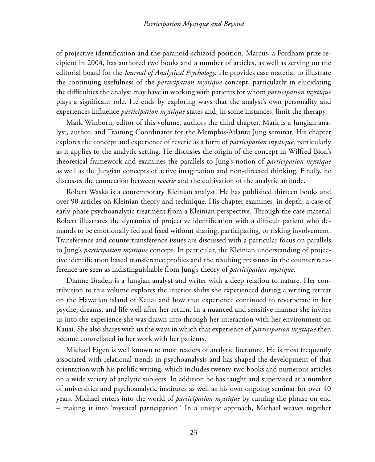#### *Participation Mystique and Beyond*

of projective identification and the paranoid-schizoid position. Marcus, a Fordham prize recipient in 2004, has authored two books and a number of articles, as well as serving on the editorial board for the *Journal of Analytical Psychology.* He provides case material to illustrate the continuing usefulness of the *participation mystique* concept, particularly in elucidating the difficulties the analyst may have in working with patients for whom *participation mystique* plays a significant role. He ends by exploring ways that the analyst's own personality and experiences influence *participation mystique* states and, in some instances, limit the therapy.

Mark Winborn, editor of this volume, authors the third chapter. Mark is a Jungian analyst, author, and Training Coordinator for the Memphis-Atlanta Jung seminar. His chapter explores the concept and experience of reverie as a form of *participation mystique,* particularly as it applies to the analytic setting. He discusses the origin of the concept in Wilfred Bion's theoretical framework and examines the parallels to Jung's notion of *participation mystique*  as well as the Jungian concepts of active imagination and non-directed thinking. Finally, he discusses the connection between *reverie* and the cultivation of the analytic attitude.

Robert Waska is a contemporary Kleinian analyst. He has published thirteen books and over 90 articles on Kleinian theory and technique. His chapter examines, in depth, a case of early phase psychoanalytic treatment from a Kleinian perspective. Through the case material Robert illustrates the dynamics of projective identification with a difficult patient who demands to be emotionally fed and fixed without sharing, participating, or risking involvement. Transference and countertransference issues are discussed with a particular focus on parallels to Jung's *participation mystique* concept. In particular, the Kleinian understanding of projective identification based transference profiles and the resulting pressures in the countertransference are seen as indistinguishable from Jung's theory of *participation mystique*.

Dianne Braden is a Jungian analyst and writer with a deep relation to nature. Her contribution to this volume explores the interior shifts she experienced during a writing retreat on the Hawaiian island of Kauai and how that experience continued to reverberate in her psyche, dreams, and life well after her return. In a nuanced and sensitive manner she invites us into the experience she was drawn into through her interaction with her environment on Kauai. She also shares with us the ways in which that experience of *participation mystique* then became constellated in her work with her patients.

Michael Eigen is well known to most readers of analytic literature. He is most frequently associated with relational trends in psychoanalysis and has shaped the development of that orientation with his prolific writing, which includes twenty-two books and numerous articles on a wide variety of analytic subjects. In addition he has taught and supervised at a number of universities and psychoanalytic institutes as well as his own ongoing seminar for over 40 years. Michael enters into the world of *participation mystique* by turning the phrase on end – making it into 'mystical participation.' In a unique approach, Michael weaves together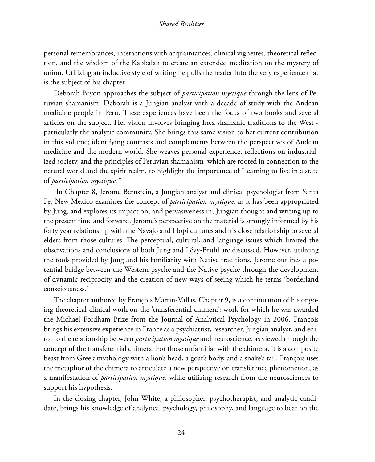personal remembrances, interactions with acquaintances, clinical vignettes, theoretical reflection, and the wisdom of the Kabbalah to create an extended meditation on the mystery of union. Utilizing an inductive style of writing he pulls the reader into the very experience that is the subject of his chapter.

Deborah Bryon approaches the subject of *participation mystique* through the lens of Peruvian shamanism. Deborah is a Jungian analyst with a decade of study with the Andean medicine people in Peru. These experiences have been the focus of two books and several articles on the subject. Her vision involves bringing Inca shamanic traditions to the West particularly the analytic community. She brings this same vision to her current contribution in this volume; identifying contrasts and complements between the perspectives of Andean medicine and the modern world. She weaves personal experience, reflections on industrialized society, and the principles of Peruvian shamanism, which are rooted in connection to the natural world and the spirit realm, to highlight the importance of "learning to live in a state of *participation mystique."*

 In Chapter 8, Jerome Bernstein, a Jungian analyst and clinical psychologist from Santa Fe, New Mexico examines the concept of *participation mystique,* as it has been appropriated by Jung, and explores its impact on, and pervasiveness in, Jungian thought and writing up to the present time and forward. Jerome's perspective on the material is strongly informed by his forty year relationship with the Navajo and Hopi cultures and his close relationship to several elders from those cultures. The perceptual, cultural, and language issues which limited the observations and conclusions of both Jung and Lévy-Bruhl are discussed. However, utilizing the tools provided by Jung and his familiarity with Native traditions, Jerome outlines a potential bridge between the Western psyche and the Native psyche through the development of dynamic reciprocity and the creation of new ways of seeing which he terms 'borderland consciousness.'

The chapter authored by François Martin-Vallas, Chapter 9, is a continuation of his ongoing theoretical-clinical work on the 'transferential chimera': work for which he was awarded the Michael Fordham Prize from the Journal of Analytical Psychology in 2006. François brings his extensive experience in France as a psychiatrist, researcher, Jungian analyst, and editor to the relationship between *participation mystique* and neuroscience, as viewed through the concept of the transferential chimera. For those unfamiliar with the chimera, it is a composite beast from Greek mythology with a lion's head, a goat's body, and a snake's tail. François uses the metaphor of the chimera to articulate a new perspective on transference phenomenon, as a manifestation of *participation mystique,* while utilizing research from the neurosciences to support his hypothesis.

In the closing chapter, John White, a philosopher, psychotherapist, and analytic candidate, brings his knowledge of analytical psychology, philosophy, and language to bear on the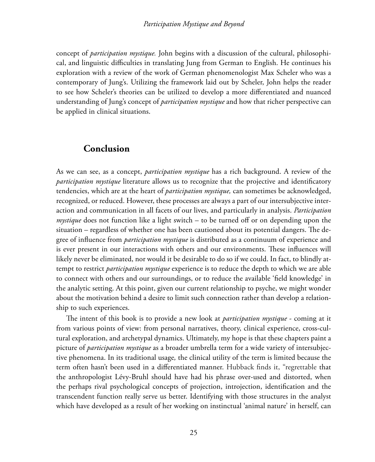concept of *participation mystique.* John begins with a discussion of the cultural, philosophical, and linguistic difficulties in translating Jung from German to English. He continues his exploration with a review of the work of German phenomenologist Max Scheler who was a contemporary of Jung's. Utilizing the framework laid out by Scheler, John helps the reader to see how Scheler's theories can be utilized to develop a more differentiated and nuanced understanding of Jung's concept of *participation mystique* and how that richer perspective can be applied in clinical situations.

## **Conclusion**

As we can see, as a concept, *participation mystique* has a rich background. A review of the *participation mystique* literature allows us to recognize that the projective and identificatory tendencies, which are at the heart of *participation mystique,* can sometimes be acknowledged, recognized, or reduced. However, these processes are always a part of our intersubjective interaction and communication in all facets of our lives, and particularly in analysis. *Participation mystique* does not function like a light switch – to be turned off or on depending upon the situation – regardless of whether one has been cautioned about its potential dangers. The degree of influence from *participation mystique* is distributed as a continuum of experience and is ever present in our interactions with others and our environments. These influences will likely never be eliminated, nor would it be desirable to do so if we could. In fact, to blindly attempt to restrict *participation mystique* experience is to reduce the depth to which we are able to connect with others and our surroundings, or to reduce the available 'field knowledge' in the analytic setting. At this point, given our current relationship to psyche, we might wonder about the motivation behind a desire to limit such connection rather than develop a relationship to such experiences.

The intent of this book is to provide a new look at *participation mystique* - coming at it from various points of view: from personal narratives, theory, clinical experience, cross-cultural exploration, and archetypal dynamics. Ultimately, my hope is that these chapters paint a picture of *participation mystique* as a broader umbrella term for a wide variety of intersubjective phenomena. In its traditional usage*,* the clinical utility of the term is limited because the term often hasn't been used in a differentiated manner. Hubback finds it, "regrettable that the anthropologist Lévy-Bruhl should have had his phrase over-used and distorted, when the perhaps rival psychological concepts of projection, introjection, identification and the transcendent function really serve us better. Identifying with those structures in the analyst which have developed as a result of her working on instinctual 'animal nature' in herself, can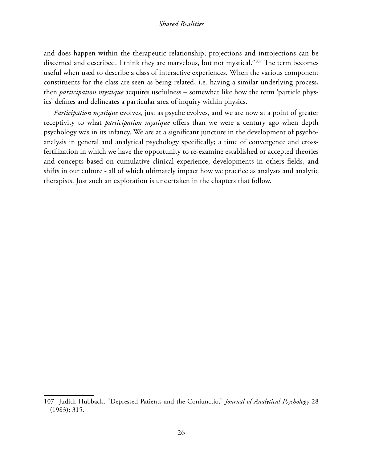#### *Shared Realities*

and does happen within the therapeutic relationship; projections and introjections can be discerned and described. I think they are marvelous, but not mystical."107 The term becomes useful when used to describe a class of interactive experiences. When the various component constituents for the class are seen as being related, i.e. having a similar underlying process, then *participation mystique* acquires usefulness – somewhat like how the term 'particle physics' defines and delineates a particular area of inquiry within physics.

*Participation mystique* evolves, just as psyche evolves, and we are now at a point of greater receptivity to what *participation mystique* offers than we were a century ago when depth psychology was in its infancy. We are at a significant juncture in the development of psychoanalysis in general and analytical psychology specifically; a time of convergence and crossfertilization in which we have the opportunity to re-examine established or accepted theories and concepts based on cumulative clinical experience, developments in others fields, and shifts in our culture - all of which ultimately impact how we practice as analysts and analytic therapists. Just such an exploration is undertaken in the chapters that follow.

<sup>107</sup> Judith Hubback, "Depressed Patients and the Coniunctio," *Journal of Analytical Psychology* 28 (1983): 315.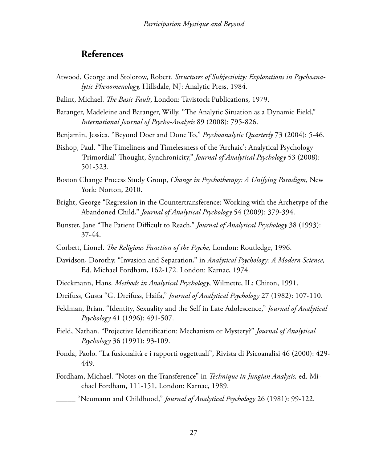## **References**

- Atwood, George and Stolorow, Robert. *Structures of Subjectivity: Explorations in Psychoanalytic Phenomenology,* Hillsdale, NJ: Analytic Press, 1984.
- Balint, Michael. *The Basic Fault*, London: Tavistock Publications, 1979.
- Baranger, Madeleine and Baranger, Willy. "The Analytic Situation as a Dynamic Field," *International Journal of Psycho-Analysis* 89 (2008): 795-826.
- Benjamin, Jessica. "Beyond Doer and Done To," *Psychoanalytic Quarterly* 73 (2004): 5-46.
- Bishop, Paul. "The Timeliness and Timelessness of the 'Archaic': Analytical Psychology 'Primordial' Thought, Synchronicity," *Journal of Analytical Psychology* 53 (2008): 501-523.
- Boston Change Process Study Group, *Change in Psychotherapy: A Unifying Paradigm,* New York: Norton, 2010.
- Bright, George "Regression in the Countertransference: Working with the Archetype of the Abandoned Child," *Journal of Analytical Psychology* 54 (2009): 379-394.
- Bunster, Jane "The Patient Difficult to Reach," *Journal of Analytical Psychology* 38 (1993): 37-44.
- Corbett, Lionel. *The Religious Function of the Psyche,* London: Routledge, 1996.
- Davidson, Dorothy. "Invasion and Separation," in *Analytical Psychology: A Modern Science,*  Ed. Michael Fordham, 162-172. London: Karnac, 1974.
- Dieckmann, Hans. *Methods in Analytical Psychology*, Wilmette, IL: Chiron, 1991.
- Dreifuss, Gusta "G. Dreifuss, Haifa," *Journal of Analytical Psychology* 27 (1982): 107-110.
- Feldman, Brian. "Identity, Sexuality and the Self in Late Adolescence," *Journal of Analytical Psychology* 41 (1996): 491-507.
- Field, Nathan. "Projective Identification: Mechanism or Mystery?" *Journal of Analytical Psychology* 36 (1991): 93-109.
- Fonda, Paolo. "La fusionalità e i rapporti oggettuali", Rivista di Psicoanalisi 46 (2000): 429- 449.
- Fordham, Michael. "Notes on the Transference" in *Technique in Jungian Analysis,* ed. Michael Fordham, 111-151, London: Karnac, 1989.

\_\_\_\_\_ "Neumann and Childhood," *Journal of Analytical Psychology* 26 (1981): 99-122.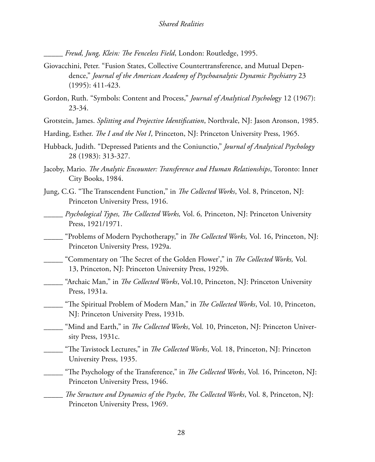\_\_\_\_\_ *Freud, Jung, Klein: The Fenceless Field*, London: Routledge, 1995.

- Giovacchini, Peter. "Fusion States, Collective Countertransference, and Mutual Dependence," *Journal of the American Academy of Psychoanalytic Dynamic Psychiatry* 23 (1995): 411-423.
- Gordon, Ruth. "Symbols: Content and Process," *Journal of Analytical Psycholo*gy 12 (1967): 23-34.
- Grotstein, James. *Splitting and Projective Identification*, Northvale, NJ: Jason Aronson, 1985.
- Harding, Esther. *The I and the Not I*, Princeton, NJ: Princeton University Press, 1965.
- Hubback, Judith. "Depressed Patients and the Coniunctio," *Journal of Analytical Psychology*  28 (1983): 313-327.
- Jacoby, Mario. *The Analytic Encounter: Transference and Human Relationships*, Toronto: Inner City Books, 1984.
- Jung, C.G. "The Transcendent Function," in *The Collected Works*, Vol. 8, Princeton, NJ: Princeton University Press, 1916.
- \_\_\_\_\_ *Psychological Types, The Collected Works,* Vol. 6*,* Princeton, NJ: Princeton University Press, 1921/1971.
- \_\_\_\_\_ "Problems of Modern Psychotherapy," in *The Collected Works,* Vol. 16, Princeton, NJ: Princeton University Press, 1929a.
- \_\_\_\_\_ "Commentary on 'The Secret of the Golden Flower'," in *The Collected Works,* Vol*.* 13, Princeton, NJ: Princeton University Press, 1929b.
- \_\_\_\_\_ "Archaic Man," in *The Collected Works*, Vol.10, Princeton, NJ: Princeton University Press, 1931a.
- \_\_\_\_\_ "The Spiritual Problem of Modern Man," in *The Collected Works*, Vol. 10, Princeton, NJ: Princeton University Press, 1931b.
- \_\_\_\_\_ "Mind and Earth," in *The Collected Works*, Vol*.* 10, Princeton, NJ: Princeton University Press, 1931c.
- \_\_\_\_\_ "The Tavistock Lectures," in *The Collected Works*, Vol*.* 18, Princeton, NJ: Princeton University Press, 1935.
- \_\_\_\_\_ "The Psychology of the Transference," in *The Collected Works*, Vol*.* 16, Princeton, NJ: Princeton University Press, 1946.
- \_\_\_\_\_ *The Structure and Dynamics of the Psyche*, *The Collected Works*, Vol*.* 8, Princeton, NJ: Princeton University Press, 1969.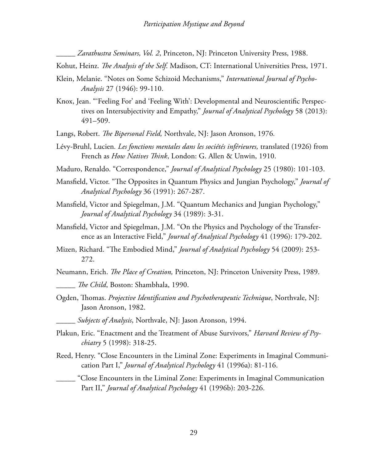Zarathustra Seminars, Vol. 2, Princeton, NJ: Princeton University Press, 1988.

Kohut, Heinz. *The Analysis of the Self*. Madison, CT: International Universities Press, 1971.

- Klein, Melanie. "Notes on Some Schizoid Mechanisms," *International Journal of Psycho-Analysis* 27 (1946): 99-110.
- Knox, Jean. "'Feeling For' and 'Feeling With': Developmental and Neuroscientific Perspectives on Intersubjectivity and Empathy," *Journal of Analytical Psychology* 58 (2013): 491–509.
- Langs, Robert. *The Bipersonal Field,* Northvale, NJ: Jason Aronson, 1976*.*
- Lévy-Bruhl, Lucien. *Les fonctions mentales dans les sociétés inférieures*, translated (1926) from French as *How Natives Think*, London: G. Allen & Unwin, 1910.
- Maduro, Renaldo. "Correspondence," *Journal of Analytical Psychology* 25 (1980): 101-103.
- Mansfield, Victor. "The Opposites in Quantum Physics and Jungian Psychology," *Journal of Analytical Psychology* 36 (1991): 267-287.
- Mansfield, Victor and Spiegelman, J.M. "Quantum Mechanics and Jungian Psychology," *Journal of Analytical Psychology* 34 (1989): 3-31.
- Mansfield, Victor and Spiegelman, J.M. "On the Physics and Psychology of the Transference as an Interactive Field," *Journal of Analytical Psychology* 41 (1996): 179-202.
- Mizen, Richard. "The Embodied Mind," *Journal of Analytical Psychology* 54 (2009): 253- 272.
- Neumann, Erich. *The Place of Creation,* Princeton, NJ: Princeton University Press, 1989. \_\_\_\_\_ *The Child*, Boston: Shambhala, 1990.
- Ogden, Thomas. *Projective Identification and Psychotherapeutic Technique*, Northvale, NJ: Jason Aronson, 1982.
- \_\_\_\_\_ *Subjects of Analysis*, Northvale, NJ: Jason Aronson, 1994.
- Plakun, Eric. "Enactment and the Treatment of Abuse Survivors," *Harvard Review of Psychiatry* 5 (1998): 318-25.
- Reed, Henry. "Close Encounters in the Liminal Zone: Experiments in Imaginal Communication Part I," *Journal of Analytical Psychology* 41 (1996a): 81-116.
	- \_\_\_\_\_ "Close Encounters in the Liminal Zone: Experiments in Imaginal Communication Part II," *Journal of Analytical Psychology* 41 (1996b): 203-226.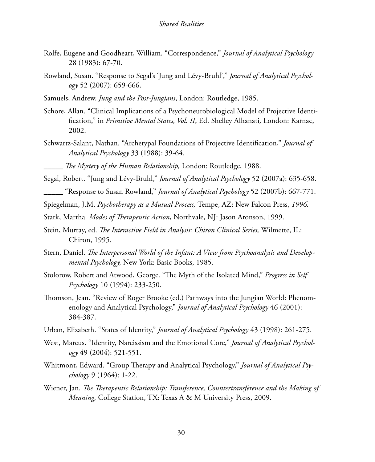- Rolfe, Eugene and Goodheart, William. "Correspondence," *Journal of Analytical Psychology* 28 (1983): 67-70.
- Rowland, Susan. "Response to Segal's 'Jung and Lévy-Bruhl'," *Journal of Analytical Psychology* 52 (2007): 659-666.
- Samuels, Andrew. *Jung and the Post-Jungians*, London: Routledge, 1985.
- Schore, Allan. "Clinical Implications of a Psychoneurobiological Model of Projective Identification," in *Primitive Mental States, Vol. II*, Ed. Shelley Alhanati*,* London: Karnac, 2002.
- Schwartz-Salant, Nathan. "Archetypal Foundations of Projective Identification," *Journal of Analytical Psychology* 33 (1988): 39-64.
	- \_\_\_\_\_ *The Mystery of the Human Relationship,* London: Routledge, 1988.
- Segal, Robert. "Jung and Lévy-Bruhl," *Journal of Analytical Psychology* 52 (2007a): 635-658.
- \_\_\_\_\_ "Response to Susan Rowland," *Journal of Analytical Psychology* 52 (2007b): 667-771.
- Spiegelman, J.M. *Psychotherapy as a Mutual Process,* Tempe, AZ: New Falcon Press, *1996.*
- Stark, Martha. *Modes of Therapeutic Action*, Northvale, NJ: Jason Aronson, 1999.
- Stein, Murray, ed. *The Interactive Field in Analysis: Chiron Clinical Series,* Wilmette, IL: Chiron, 1995.
- Stern, Daniel. *The Interpersonal World of the Infant: A View from Psychoanalysis and Developmental Psychology,* New York: Basic Books, 1985.
- Stolorow, Robert and Atwood, George. "The Myth of the Isolated Mind," *Progress in Self Psychology* 10 (1994): 233-250.
- Thomson, Jean. "Review of Roger Brooke (ed.) Pathways into the Jungian World: Phenomenology and Analytical Psychology," *Journal of Analytical Psychology* 46 (2001): 384-387.
- Urban, Elizabeth. "States of Identity," *Journal of Analytical Psychology* 43 (1998): 261-275.
- West, Marcus. "Identity, Narcissism and the Emotional Core," *Journal of Analytical Psychology* 49 (2004): 521-551.
- Whitmont, Edward. "Group Therapy and Analytical Psychology," *Journal of Analytical Psychology* 9 (1964): 1-22.
- Wiener, Jan. *The Therapeutic Relationship: Transference, Countertransference and the Making of Meaning,* College Station, TX: Texas A & M University Press, 2009.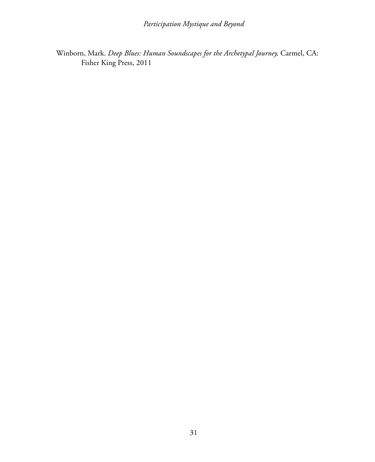*Participation Mystique and Beyond*

Winborn, Mark. *Deep Blues: Human Soundscapes for the Archetypal Journey,* Carmel, CA: Fisher King Press, 2011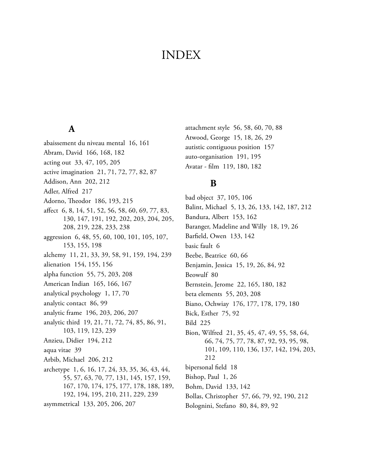## INDEX

## **A**

abaissement du niveau mental 16, 161 Abram, David 166, 168, 182 acting out 33, 47, 105, 205 active imagination 21, 71, 72, 77, 82, 87 Addison, Ann 202, 212 Adler, Alfred 217 Adorno, Theodor 186, 193, 215 affect 6, 8, 14, 51, 52, 56, 58, 60, 69, 77, 83, 130, 147, 191, 192, 202, 203, 204, 205, 208, 219, 228, 233, 238 aggression 6, 48, 55, 60, 100, 101, 105, 107, 153, 155, 198 alchemy 11, 21, 33, 39, 58, 91, 159, 194, 239 alienation 154, 155, 156 alpha function 55, 75, 203, 208 American Indian 165, 166, 167 analytical psychology 1, 17, 70 analytic contact 86, 99 analytic frame 196, 203, 206, 207 analytic third 19, 21, 71, 72, 74, 85, 86, 91, 103, 119, 123, 239 Anzieu, Didier 194, 212 aqua vitae 39 Arbib, Michael 206, 212 archetype 1, 6, 16, 17, 24, 33, 35, 36, 43, 44, 55, 57, 63, 70, 77, 131, 145, 157, 159, 167, 170, 174, 175, 177, 178, 188, 189, 192, 194, 195, 210, 211, 229, 239 asymmetrical 133, 205, 206, 207

attachment style 56, 58, 60, 70, 88 Atwood, George 15, 18, 26, 29 autistic contiguous position 157 auto-organisation 191, 195 Avatar - film 119, 180, 182

#### **B**

bad object 37, 105, 106 Balint, Michael 5, 13, 26, 133, 142, 187, 212 Bandura, Albert 153, 162 Baranger, Madeline and Willy 18, 19, 26 Barfield, Owen 133, 142 basic fault 6 Beebe, Beatrice 60, 66 Benjamin, Jessica 15, 19, 26, 84, 92 Beowulf 80 Bernstein, Jerome 22, 165, 180, 182 beta elements 55, 203, 208 Biano, Ochwiay 176, 177, 178, 179, 180 Bick, Esther 75, 92 Bild 225 Bion, Wilfred 21, 35, 45, 47, 49, 55, 58, 64, 66, 74, 75, 77, 78, 87, 92, 93, 95, 98, 101, 109, 110, 136, 137, 142, 194, 203, 212 bipersonal field 18 Bishop, Paul 1, 26 Bohm, David 133, 142 Bollas, Christopher 57, 66, 79, 92, 190, 212 Bolognini, Stefano 80, 84, 89, 92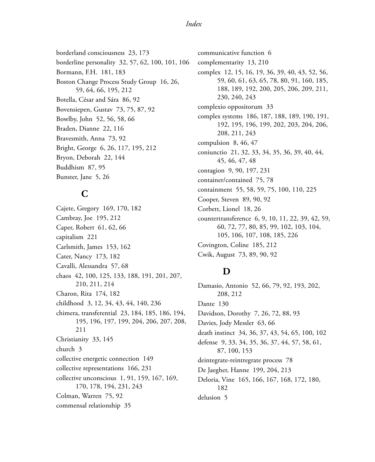borderland consciousness 23, 173 borderline personality 32, 57, 62, 100, 101, 106 Bormann, F.H. 181, 183 Boston Change Process Study Group 16, 26, 59, 64, 66, 195, 212 Botella, César and Sára 86, 92 Bovensiepen, Gustav 73, 75, 87, 92 Bowlby, John 52, 56, 58, 66 Braden, Dianne 22, 116 Bravesmith, Anna 73, 92 Bright, George 6, 26, 117, 195, 212 Bryon, Deborah 22, 144 Buddhism 87, 95 Bunster, Jane 5, 26

## **C**

Cajete, Gregory 169, 170, 182 Cambray, Joe 195, 212 Caper, Robert 61, 62, 66 capitalism 221 Carlsmith, James 153, 162 Cater, Nancy 173, 182 Cavalli, Alessandra 57, 68 chaos 42, 100, 125, 133, 188, 191, 201, 207, 210, 211, 214 Charon, Rita 174, 182 childhood 3, 12, 34, 43, 44, 140, 236 chimera, transferential 23, 184, 185, 186, 194, 195, 196, 197, 199, 204, 206, 207, 208, 211 Christianity 33, 145 church 3 collective energetic connection 149 collective representations 166, 231 collective unconscious 1, 91, 159, 167, 169, 170, 178, 194, 231, 243 Colman, Warren 75, 92 commensal relationship 35

communicative function 6 complementarity 13, 210 complex 12, 15, 16, 19, 36, 39, 40, 43, 52, 56, 59, 60, 61, 63, 65, 78, 80, 91, 160, 185, 188, 189, 192, 200, 205, 206, 209, 211, 230, 240, 243 complexio oppositorum 33 complex systems 186, 187, 188, 189, 190, 191, 192, 195, 196, 199, 202, 203, 204, 206, 208, 211, 243 compulsion 8, 46, 47 coniunctio 21, 32, 33, 34, 35, 36, 39, 40, 44, 45, 46, 47, 48 contagion 9, 90, 197, 231 container/contained 75, 78 containment 55, 58, 59, 75, 100, 110, 225 Cooper, Steven 89, 90, 92 Corbett, Lionel 18, 26 countertransference 6, 9, 10, 11, 22, 39, 42, 59, 60, 72, 77, 80, 85, 99, 102, 103, 104, 105, 106, 107, 108, 185, 226 Covington, Coline 185, 212 Cwik, August 73, 89, 90, 92

## **D**

Damasio, Antonio 52, 66, 79, 92, 193, 202, 208, 212 Dante 130 Davidson, Dorothy 7, 26, 72, 88, 93 Davies, Jody Messler 63, 66 death instinct 34, 36, 37, 43, 54, 65, 100, 102 defense 9, 33, 34, 35, 36, 37, 44, 57, 58, 61, 87, 100, 153 deintegrate-reintregrate process 78 De Jaegher, Hanne 199, 204, 213 Deloria, Vine 165, 166, 167, 168, 172, 180, 182 delusion 5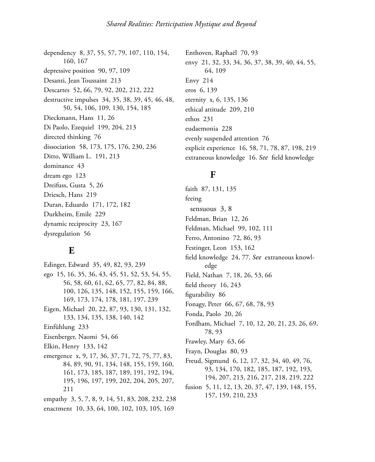dependency 8, 37, 55, 57, 79, 107, 110, 154, 160, 167 depressive position 90, 97, 109 Desanti, Jean Toussaint 213 Descartes 52, 66, 79, 92, 202, 212, 222 destructive impulses 34, 35, 38, 39, 45, 46, 48, 50, 54, 106, 109, 130, 154, 185 Dieckmann, Hans 11, 26 Di Paolo, Ezequiel 199, 204, 213 directed thinking 76 dissociation 58, 173, 175, 176, 230, 236 Ditto, William L. 191, 213 dominance 43 dream ego 123 Dreifuss, Gusta 5, 26 Driesch, Hans 219 Duran, Eduardo 171, 172, 182 Durkheim, Emile 229 dynamic reciprocity 23, 167 dysregulation 56

## **E**

Edinger, Edward 35, 49, 82, 93, 239 ego 15, 16, 35, 36, 43, 45, 51, 52, 53, 54, 55, 56, 58, 60, 61, 62, 65, 77, 82, 84, 88, 100, 126, 135, 148, 152, 155, 159, 166, 169, 173, 174, 178, 181, 197, 239 Eigen, Michael 20, 22, 87, 93, 130, 131, 132, 133, 134, 135, 138, 140, 142 Einfühlung 233 Eisenberger, Naomi 54, 66 Elkin, Henry 133, 142 emergence x, 9, 17, 36, 37, 71, 72, 75, 77, 83, 84, 89, 90, 91, 134, 148, 155, 159, 160, 161, 173, 185, 187, 189, 191, 192, 194, 195, 196, 197, 199, 202, 204, 205, 207, 211 empathy 3, 5, 7, 8, 9, 14, 51, 83, 208, 232, 238 enactment 10, 33, 64, 100, 102, 103, 105, 169

Enthoven, Raphaël 70, 93 envy 21, 32, 33, 34, 36, 37, 38, 39, 40, 44, 55, 64, 109 Envy 214 eros 6, 139 eternity x, 6, 135, 136 ethical attitude 209, 210 ethos 231 eudaemonia 228 evenly suspended attention 76 explicit experience 16, 58, 71, 78, 87, 198, 219 extraneous knowledge 16. *See* field knowledge

## **F**

faith 87, 131, 135 feeing sensuous 3, 8 Feldman, Brian 12, 26 Feldman, Michael 99, 102, 111 Ferro, Antonino 72, 86, 93 Festinger, Leon 153, 162 field knowledge 24, 77. *See* extraneous knowledge Field, Nathan 7, 18, 26, 53, 66 field theory 16, 243 figurability 86 Fonagy, Peter 66, 67, 68, 78, 93 Fonda, Paolo 20, 26 Fordham, Michael 7, 10, 12, 20, 21, 23, 26, 69, 78, 93 Frawley, Mary 63, 66 Frayn, Douglas 80, 93 Freud, Sigmund 6, 12, 17, 32, 34, 40, 49, 76, 93, 134, 170, 182, 185, 187, 192, 193, 194, 207, 213, 216, 217, 218, 219, 222 fusion 5, 11, 12, 13, 20, 37, 47, 139, 148, 155, 157, 159, 210, 233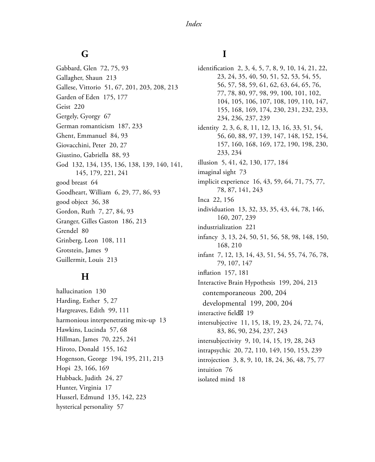## **G**

Gabbard, Glen 72, 75, 93 Gallagher, Shaun 213 Gallese, Vittorio 51, 67, 201, 203, 208, 213 Garden of Eden 175, 177 Geist 220 Gergely, Gyorgy 67 German romanticism 187, 233 Ghent, Emmanuel 84, 93 Giovacchini, Peter 20, 27 Giustino, Gabriella 88, 93 God 132, 134, 135, 136, 138, 139, 140, 141, 145, 179, 221, 241 good breast 64 Goodheart, William 6, 29, 77, 86, 93 good object 36, 38 Gordon, Ruth 7, 27, 84, 93 Granger, Gilles Gaston 186, 213 Grendel 80 Grinberg, Leon 108, 111 Grotstein, James 9 Guillermit, Louis 213

## **H**

hallucination 130 Harding, Esther 5, 27 Hargreaves, Edith 99, 111 harmonious interpenetrating mix-up 13 Hawkins, Lucinda 57, 68 Hillman, James 70, 225, 241 Hiroto, Donald 155, 162 Hogenson, George 194, 195, 211, 213 Hopi 23, 166, 169 Hubback, Judith 24, 27 Hunter, Virginia 17 Husserl, Edmund 135, 142, 223 hysterical personality 57

## **I**

identification 2, 3, 4, 5, 7, 8, 9, 10, 14, 21, 22, 23, 24, 35, 40, 50, 51, 52, 53, 54, 55, 56, 57, 58, 59, 61, 62, 63, 64, 65, 76, 77, 78, 80, 97, 98, 99, 100, 101, 102, 104, 105, 106, 107, 108, 109, 110, 147, 155, 168, 169, 174, 230, 231, 232, 233, 234, 236, 237, 239 identity 2, 3, 6, 8, 11, 12, 13, 16, 33, 51, 54, 56, 60, 88, 97, 139, 147, 148, 152, 154, 157, 160, 168, 169, 172, 190, 198, 230, 233, 234 illusion 5, 41, 42, 130, 177, 184 imaginal sight 73 implicit experience 16, 43, 59, 64, 71, 75, 77, 78, 87, 141, 243 Inca 22, 156 individuation 13, 32, 33, 35, 43, 44, 78, 146, 160, 207, 239 industrialization 221 infancy 3, 13, 24, 50, 51, 56, 58, 98, 148, 150, 168, 210 infant 7, 12, 13, 14, 43, 51, 54, 55, 74, 76, 78, 79, 107, 147 inflation 157, 181 Interactive Brain Hypothesis 199, 204, 213 contemporaneous 200, 204 developmental 199, 200, 204 interactive field 19 intersubjective 11, 15, 18, 19, 23, 24, 72, 74, 83, 86, 90, 234, 237, 243 intersubjectivity 9, 10, 14, 15, 19, 28, 243 intrapsychic 20, 72, 110, 149, 150, 153, 239 introjection 3, 8, 9, 10, 18, 24, 36, 48, 75, 77 intuition 76 isolated mind 18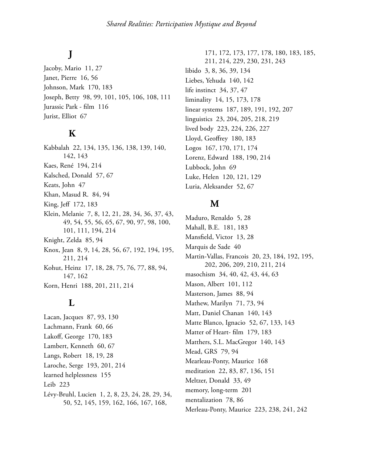## **J**

Jacoby, Mario 11, 27 Janet, Pierre 16, 56 Johnson, Mark 170, 183 Joseph, Betty 98, 99, 101, 105, 106, 108, 111 Jurassic Park - film 116 Jurist, Elliot 67

## **K**

Kabbalah 22, 134, 135, 136, 138, 139, 140, 142, 143 Kaes, René 194, 214 Kalsched, Donald 57, 67 Keats, John 47 Khan, Masud R. 84, 94 King, Jeff 172, 183 Klein, Melanie 7, 8, 12, 21, 28, 34, 36, 37, 43, 49, 54, 55, 56, 65, 67, 90, 97, 98, 100, 101, 111, 194, 214 Knight, Zelda 85, 94 Knox, Jean 8, 9, 14, 28, 56, 67, 192, 194, 195, 211, 214 Kohut, Heinz 17, 18, 28, 75, 76, 77, 88, 94, 147, 162 Korn, Henri 188, 201, 211, 214

## **L**

Lacan, Jacques 87, 93, 130 Lachmann, Frank 60, 66 Lakoff, George 170, 183 Lambert, Kenneth 60, 67 Langs, Robert 18, 19, 28 Laroche, Serge 193, 201, 214 learned helplessness 155 Leib 223 Lévy-Bruhl, Lucien 1, 2, 8, 23, 24, 28, 29, 34, 50, 52, 145, 159, 162, 166, 167, 168,

171, 172, 173, 177, 178, 180, 183, 185, 211, 214, 229, 230, 231, 243 libido 3, 8, 36, 39, 134 Liebes, Yehuda 140, 142 life instinct 34, 37, 47 liminality 14, 15, 173, 178 linear systems 187, 189, 191, 192, 207 linguistics 23, 204, 205, 218, 219 lived body 223, 224, 226, 227 Lloyd, Geoffrey 180, 183 Logos 167, 170, 171, 174 Lorenz, Edward 188, 190, 214 Lubbock, John 69 Luke, Helen 120, 121, 129 Luria, Aleksander 52, 67

## **M**

Maduro, Renaldo 5, 28 Mahall, B.E. 181, 183 Mansfield, Victor 13, 28 Marquis de Sade 40 Martin-Vallas, Francois 20, 23, 184, 192, 195, 202, 206, 209, 210, 211, 214 masochism 34, 40, 42, 43, 44, 63 Mason, Albert 101, 112 Masterson, James 88, 94 Mathew, Marilyn 71, 73, 94 Matt, Daniel Chanan 140, 143 Matte Blanco, Ignacio 52, 67, 133, 143 Matter of Heart- film 179, 183 Matthers, S.L. MacGregor 140, 143 Mead, GRS 79, 94 Mearleau-Ponty, Maurice 168 meditation 22, 83, 87, 136, 151 Meltzer, Donald 33, 49 memory, long-term 201 mentalization 78, 86 Merleau-Ponty, Maurice 223, 238, 241, 242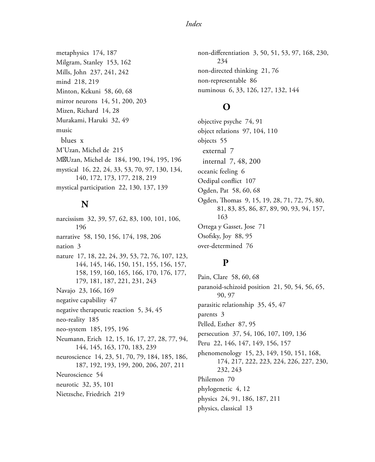metaphysics 174, 187 Milgram, Stanley 153, 162 Mills, John 237, 241, 242 mind 218, 219 Minton, Kekuni 58, 60, 68 mirror neurons 14, 51, 200, 203 Mizen, Richard 14, 28 Murakami, Haruki 32, 49 music blues x M'Uzan, Michel de 215 MUzan, Michel de 184, 190, 194, 195, 196 mystical 16, 22, 24, 33, 53, 70, 97, 130, 134, 140, 172, 173, 177, 218, 219 mystical participation 22, 130, 137, 139

## **N**

narcissism 32, 39, 57, 62, 83, 100, 101, 106, 196 narrative 58, 150, 156, 174, 198, 206 nation 3 nature 17, 18, 22, 24, 39, 53, 72, 76, 107, 123, 144, 145, 146, 150, 151, 155, 156, 157, 158, 159, 160, 165, 166, 170, 176, 177, 179, 181, 187, 221, 231, 243 Navajo 23, 166, 169 negative capability 47 negative therapeutic reaction 5, 34, 45 neo-reality 185 neo-system 185, 195, 196 Neumann, Erich 12, 15, 16, 17, 27, 28, 77, 94, 144, 145, 163, 170, 183, 239 neuroscience 14, 23, 51, 70, 79, 184, 185, 186, 187, 192, 193, 199, 200, 206, 207, 211 Neuroscience 54 neurotic 32, 35, 101 Nietzsche, Friedrich 219

non-differentiation 3, 50, 51, 53, 97, 168, 230, 234 non-directed thinking 21, 76 non-representable 86 numinous 6, 33, 126, 127, 132, 144

## **O**

objective psyche 74, 91 object relations 97, 104, 110 objects 55 external 7 internal 7, 48, 200 oceanic feeling 6 Oedipal conflict 107 Ogden, Pat 58, 60, 68 Ogden, Thomas 9, 15, 19, 28, 71, 72, 75, 80, 81, 83, 85, 86, 87, 89, 90, 93, 94, 157, 163 Ortega y Gasset, Jose 71 Osofsky, Joy 88, 95 over-determined 76

## **P**

Pain, Clare 58, 60, 68 paranoid-schizoid position 21, 50, 54, 56, 65, 90, 97 parasitic relationship 35, 45, 47 parents 3 Pelled, Esther 87, 95 persecution 37, 54, 106, 107, 109, 136 Peru 22, 146, 147, 149, 156, 157 phenomenology 15, 23, 149, 150, 151, 168, 174, 217, 222, 223, 224, 226, 227, 230, 232, 243 Philemon 70 phylogenetic 4, 12 physics 24, 91, 186, 187, 211 physics, classical 13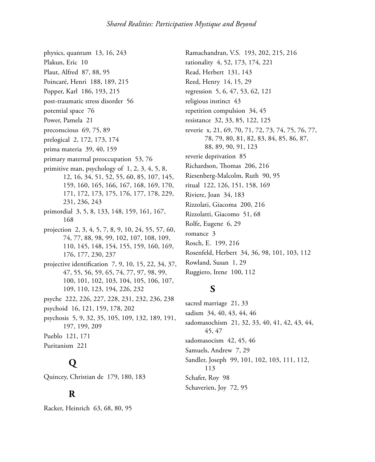physics, quantum 13, 16, 243 Plakun, Eric 10 Plaut, Alfred 87, 88, 95 Poincaré, Henri 188, 189, 215 Popper, Karl 186, 193, 215 post-traumatic stress disorder 56 potential space 76 Power, Pamela 21 preconscious 69, 75, 89 prelogical 2, 172, 173, 174 prima materia 39, 40, 159 primary maternal preoccupation 53, 76 primitive man, psychology of 1, 2, 3, 4, 5, 8, 12, 16, 34, 51, 52, 55, 60, 85, 107, 145, 159, 160, 165, 166, 167, 168, 169, 170, 171, 172, 173, 175, 176, 177, 178, 229, 231, 236, 243 primordial 3, 5, 8, 133, 148, 159, 161, 167, 168 projection 2, 3, 4, 5, 7, 8, 9, 10, 24, 55, 57, 60, 74, 77, 88, 98, 99, 102, 107, 108, 109, 110, 145, 148, 154, 155, 159, 160, 169, 176, 177, 230, 237 projective identification 7, 9, 10, 15, 22, 34, 37, 47, 55, 56, 59, 65, 74, 77, 97, 98, 99, 100, 101, 102, 103, 104, 105, 106, 107, 109, 110, 123, 194, 226, 232 psyche 222, 226, 227, 228, 231, 232, 236, 238 psychoid 16, 121, 159, 178, 202 psychosis 5, 9, 32, 35, 105, 109, 132, 189, 191, 197, 199, 209 Pueblo 121, 171 Puritanism 221

## **Q**

Quincey, Christian de 179, 180, 183

## **R**

Racker, Heinrich 63, 68, 80, 95

Ramachandran, V.S. 193, 202, 215, 216 rationality 4, 52, 173, 174, 221 Read, Herbert 131, 143 Reed, Henry 14, 15, 29 regression 5, 6, 47, 53, 62, 121 religious instinct 43 repetition compulsion 34, 45 resistance 32, 33, 85, 122, 125 reverie x, 21, 69, 70, 71, 72, 73, 74, 75, 76, 77, 78, 79, 80, 81, 82, 83, 84, 85, 86, 87, 88, 89, 90, 91, 123 reverie deprivation 85 Richardson, Thomas 206, 216 Riesenberg-Malcolm, Ruth 90, 95 ritual 122, 126, 151, 158, 169 Riviere, Joan 34, 183 Rizzolati, Giacoma 200, 216 Rizzolatti, Giacomo 51, 68 Rolfe, Eugene 6, 29 romance 3 Rosch, E. 199, 216 Rosenfeld, Herbert 34, 36, 98, 101, 103, 112 Rowland, Susan 1, 29 Ruggiero, Irene 100, 112

## **S**

sacred marriage 21, 33 sadism 34, 40, 43, 44, 46 sadomasochism 21, 32, 33, 40, 41, 42, 43, 44, 45, 47 sadomasocism 42, 45, 46 Samuels, Andrew 7, 29 Sandler, Joseph 99, 101, 102, 103, 111, 112, 113 Schafer, Roy 98 Schaverien, Joy 72, 95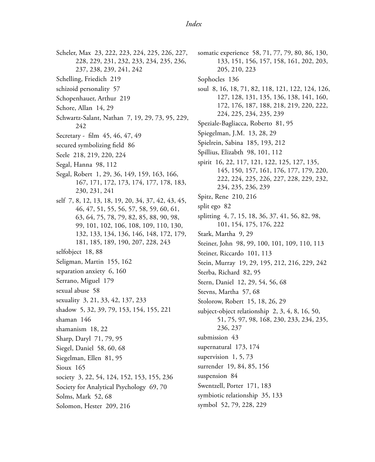Scheler, Max 23, 222, 223, 224, 225, 226, 227, 228, 229, 231, 232, 233, 234, 235, 236, 237, 238, 239, 241, 242 Schelling, Friedich 219 schizoid personality 57 Schopenhauer, Arthur 219 Schore, Allan 14, 29 Schwartz-Salant, Nathan 7, 19, 29, 73, 95, 229, 242 Secretary - film 45, 46, 47, 49 secured symbolizing field 86 Seele 218, 219, 220, 224 Segal, Hanna 98, 112 Segal, Robert 1, 29, 36, 149, 159, 163, 166, 167, 171, 172, 173, 174, 177, 178, 183, 230, 231, 241 self 7, 8, 12, 13, 18, 19, 20, 34, 37, 42, 43, 45, 46, 47, 51, 55, 56, 57, 58, 59, 60, 61, 63, 64, 75, 78, 79, 82, 85, 88, 90, 98, 99, 101, 102, 106, 108, 109, 110, 130, 132, 133, 134, 136, 146, 148, 172, 179, 181, 185, 189, 190, 207, 228, 243 selfobject 18, 88 Seligman, Martin 155, 162 separation anxiety 6, 160 Serrano, Miguel 179 sexual abuse 58 sexuality 3, 21, 33, 42, 137, 233 shadow 5, 32, 39, 79, 153, 154, 155, 221 shaman 146 shamanism 18, 22 Sharp, Daryl 71, 79, 95 Siegel, Daniel 58, 60, 68 Siegelman, Ellen 81, 95 Sioux 165 society 3, 22, 54, 124, 152, 153, 155, 236 Society for Analytical Psychology 69, 70 Solms, Mark 52, 68 Solomon, Hester 209, 216

somatic experience 58, 71, 77, 79, 80, 86, 130, 133, 151, 156, 157, 158, 161, 202, 203, 205, 210, 223 Sophocles 136 soul 8, 16, 18, 71, 82, 118, 121, 122, 124, 126, 127, 128, 131, 135, 136, 138, 141, 160, 172, 176, 187, 188, 218, 219, 220, 222, 224, 225, 234, 235, 239 Speziale-Bagliacca, Roberto 81, 95 Spiegelman, J.M. 13, 28, 29 Spielrein, Sabina 185, 193, 212 Spillius, Elizabth 98, 101, 112 spirit 16, 22, 117, 121, 122, 125, 127, 135, 145, 150, 157, 161, 176, 177, 179, 220, 222, 224, 225, 226, 227, 228, 229, 232, 234, 235, 236, 239 Spitz, Rene 210, 216 split ego 82 splitting 4, 7, 15, 18, 36, 37, 41, 56, 82, 98, 101, 154, 175, 176, 222 Stark, Martha 9, 29 Steiner, John 98, 99, 100, 101, 109, 110, 113 Steiner, Riccardo 101, 113 Stein, Murray 19, 29, 195, 212, 216, 229, 242 Sterba, Richard 82, 95 Stern, Daniel 12, 29, 54, 56, 68 Stevns, Martha 57, 68 Stolorow, Robert 15, 18, 26, 29 subject-object relationship 2, 3, 4, 8, 16, 50, 51, 75, 97, 98, 168, 230, 233, 234, 235, 236, 237 submission 43 supernatural 173, 174 supervision 1, 5, 73 surrender 19, 84, 85, 156 suspension 84 Swentzell, Porter 171, 183 symbiotic relationship 35, 133 symbol 52, 79, 228, 229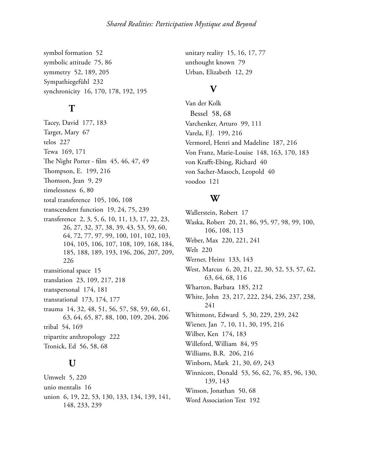symbol formation 52 symbolic attitude 75, 86 symmetry 52, 189, 205 Sympathiegefühl 232 synchronicity 16, 170, 178, 192, 195

## **T**

Tacey, David 177, 183 Target, Mary 67 telos 227 Tewa 169, 171 The Night Porter - film 45, 46, 47, 49 Thompson, E. 199, 216 Thomson, Jean 9, 29 timelessness 6, 80 total transference 105, 106, 108 transcendent function 19, 24, 75, 239 transference 2, 3, 5, 6, 10, 11, 13, 17, 22, 23, 26, 27, 32, 37, 38, 39, 43, 53, 59, 60, 64, 72, 77, 97, 99, 100, 101, 102, 103, 104, 105, 106, 107, 108, 109, 168, 184, 185, 188, 189, 193, 196, 206, 207, 209, 226 transitional space 15 translation 23, 109, 217, 218 transpersonal 174, 181 transrational 173, 174, 177 trauma 14, 32, 48, 51, 56, 57, 58, 59, 60, 61, 63, 64, 65, 87, 88, 100, 109, 204, 206 tribal 54, 169 tripartite anthropology 222 Tronick, Ed 56, 58, 68

## **U**

Umwelt 5, 220 unio mentalis 16 union 6, 19, 22, 53, 130, 133, 134, 139, 141, 148, 233, 239

unitary reality 15, 16, 17, 77 unthought known 79 Urban, Elizabeth 12, 29

## **V**

Van der Kolk Bessel 58, 68 Varchenker, Arturo 99, 111 Varela, F.J. 199, 216 Vermorel, Henri and Madeline 187, 216 Von Franz, Marie-Louise 148, 163, 170, 183 von Krafft-Ebing, Richard 40 von Sacher-Masoch, Leopold 40 voodoo 121

## **W**

Wallerstein, Robert 17 Waska, Robert 20, 21, 86, 95, 97, 98, 99, 100, 106, 108, 113 Weber, Max 220, 221, 241 Welt 220 Werner, Heinz 133, 143 West, Marcus 6, 20, 21, 22, 30, 52, 53, 57, 62, 63, 64, 68, 116 Wharton, Barbara 185, 212 White, John 23, 217, 222, 234, 236, 237, 238, 241 Whitmont, Edward 5, 30, 229, 239, 242 Wiener, Jan 7, 10, 11, 30, 195, 216 Wilber, Ken 174, 183 Willeford, William 84, 95 Williams, B.R. 206, 216 Winborn, Mark 21, 30, 69, 243 Winnicott, Donald 53, 56, 62, 76, 85, 96, 130, 139, 143 Winson, Jonathan 50, 68 Word Association Test 192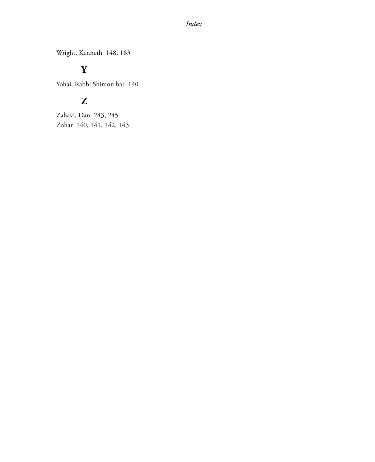*Index*

Wright, Kenneth 148, 163

## **Y**

Yohai, Rabbi Shimon bar 140

## **Z**

Zahavi, Dan 243, 245 Zohar 140, 141, 142, 143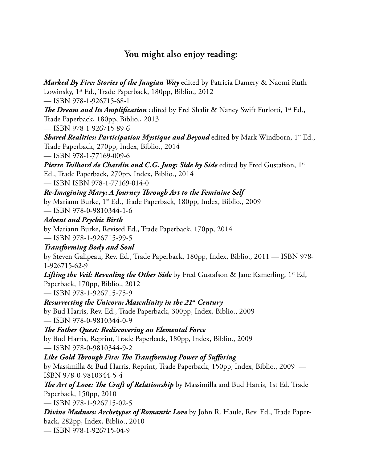## **You might also enjoy reading:**

*Marked By Fire: Stories of the Jungian Way* edited by Patricia Damery & Naomi Ruth Lowinsky, 1<sup>st</sup> Ed., Trade Paperback, 180pp, Biblio., 2012 — ISBN 978-1-926715-68-1

**The Dream and Its Amplification** edited by Erel Shalit & Nancy Swift Furlotti, 1<sup>st</sup> Ed., Trade Paperback, 180pp, Biblio., 2013 — ISBN 978-1-926715-89-6

*Shared Realities: Participation Mystique and Beyond* edited by Mark Windborn, 1<sup>st</sup> Ed., Trade Paperback, 270pp, Index, Biblio., 2014 — ISBN 978-1-77169-009-6

*Pierre Teilhard de Chardin and C.G. Jung: Side by Side* edited by Fred Gustafson, 1st Ed., Trade Paperback, 270pp, Index, Biblio., 2014

— ISBN ISBN 978-1-77169-014-0

*Re-Imagining Mary: A Journey Through Art to the Feminine Self* 

by Mariann Burke, 1<sup>st</sup> Ed., Trade Paperback, 180pp, Index, Biblio., 2009

— ISBN 978-0-9810344-1-6

*Advent and Psychic Birth* 

by Mariann Burke, Revised Ed., Trade Paperback, 170pp, 2014 — ISBN 978-1-926715-99-5

*Transforming Body and Soul*

by Steven Galipeau, Rev. Ed., Trade Paperback, 180pp, Index, Biblio., 2011 — ISBN 978- 1-926715-62-9

Lifting the Veil: Revealing the Other Side by Fred Gustafson & Jane Kamerling, 1<sup>st</sup> Ed, Paperback, 170pp, Biblio., 2012

— ISBN 978-1-926715-75-9

*Resurrecting the Unicorn: Masculinity in the 21st Century* 

by Bud Harris, Rev. Ed., Trade Paperback, 300pp, Index, Biblio., 2009 — ISBN 978-0-9810344-0-9

*The Father Quest: Rediscovering an Elemental Force* 

by Bud Harris, Reprint, Trade Paperback, 180pp, Index, Biblio., 2009 — ISBN 978-0-9810344-9-2

*Like Gold Through Fire: The Transforming Power of Suffering* 

by Massimilla & Bud Harris, Reprint, Trade Paperback, 150pp, Index, Biblio., 2009 — ISBN 978-0-9810344-5-4

*The Art of Love: The Craft of Relationship* by Massimilla and Bud Harris, 1st Ed. Trade Paperback, 150pp, 2010

— ISBN 978-1-926715-02-5

*Divine Madness: Archetypes of Romantic Love* by John R. Haule, Rev. Ed., Trade Paperback, 282pp, Index, Biblio., 2010

— ISBN 978-1-926715-04-9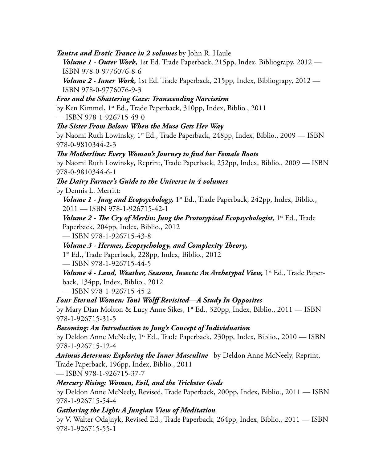*Tantra and Erotic Trance in 2 volumes* by John R. Haule

*Volume 1 - Outer Work,* 1st Ed. Trade Paperback, 215pp, Index, Bibliograpy, 2012 — ISBN 978-0-9776076-8-6

*Volume 2 - Inner Work,* 1st Ed. Trade Paperback, 215pp, Index, Bibliograpy, 2012 — ISBN 978-0-9776076-9-3

## *Eros and the Shattering Gaze: Transcending Narcissism*

by Ken Kimmel, 1<sup>st</sup> Ed., Trade Paperback, 310pp, Index, Biblio., 2011 — ISBN 978-1-926715-49-0

*The Sister From Below: When the Muse Gets Her Way* 

by Naomi Ruth Lowinsky, 1<sup>st</sup> Ed., Trade Paperback, 248pp, Index, Biblio., 2009 — ISBN 978-0-9810344-2-3

#### *The Motherline: Every Woman's Journey to find her Female Roots*

by Naomi Ruth Lowinsky*,* Reprint, Trade Paperback, 252pp, Index, Biblio., 2009 — ISBN 978-0-9810344-6-1

*The Dairy Farmer's Guide to the Universe in 4 volumes* 

by Dennis L. Merritt:

*Volume 1 - Jung and Ecopsychology,* 1<sup>st</sup> Ed., Trade Paperback, 242pp, Index, Biblio., 2011 — ISBN 978-1-926715-42-1

*Volume 2 - The Cry of Merlin: Jung the Prototypical Ecopsychologist*, 1<sup>st</sup> Ed., Trade Paperback, 204pp, Index, Biblio., 2012

— ISBN 978-1-926715-43-8

*Volume 3 - Hermes, Ecopsychology, and Complexity Theory,* 

1st Ed., Trade Paperback, 228pp, Index, Biblio., 2012

— ISBN 978-1-926715-44-5

*Volume 4 - Land, Weather, Seasons, Insects: An Archetypal View, 1st Ed., Trade Paper*back, 134pp, Index, Biblio., 2012

— ISBN 978-1-926715-45-2

*Four Eternal Women: Toni Wolff Revisited—A Study In Opposites* 

by Mary Dian Molton & Lucy Anne Sikes, 1st Ed., 320pp, Index, Biblio., 2011 — ISBN 978-1-926715-31-5

*Becoming: An Introduction to Jung's Concept of Individuation* 

by Deldon Anne McNeely, 1<sup>st</sup> Ed., Trade Paperback, 230pp, Index, Biblio., 2010 — ISBN 978-1-926715-12-4

*Animus Aeternus: Exploring the Inner Masculine* by Deldon Anne McNeely, Reprint, Trade Paperback, 196pp, Index, Biblio., 2011

— ISBN 978-1-926715-37-7

## *Mercury Rising: Women, Evil, and the Trickster Gods*

by Deldon Anne McNeely, Revised, Trade Paperback, 200pp, Index, Biblio., 2011 — ISBN 978-1-926715-54-4

## *Gathering the Light: A Jungian View of Meditation*

by V. Walter Odajnyk, Revised Ed., Trade Paperback, 264pp, Index, Biblio., 2011 — ISBN 978-1-926715-55-1